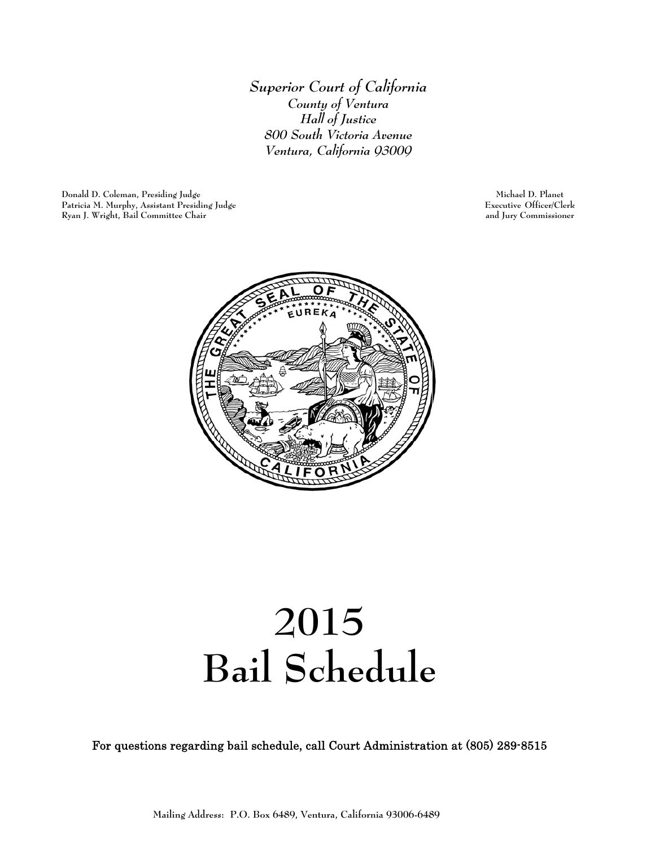*Superior Court of California County of Ventura Hall of Justice 800 South Victoria Avenue Ventura, California 93009* 

 **Donald D. Coleman, Presiding Judge Patricia M. Murphy, Assistant Presiding Judge Ryan J. Wright, Bail Committee Chair**

**Michael D. Planet Executive Officer/Clerk and Jury Commissioner**



# **2015 Bail Schedule**

For questions regarding bail schedule, call Court Administration at (805) 289-8515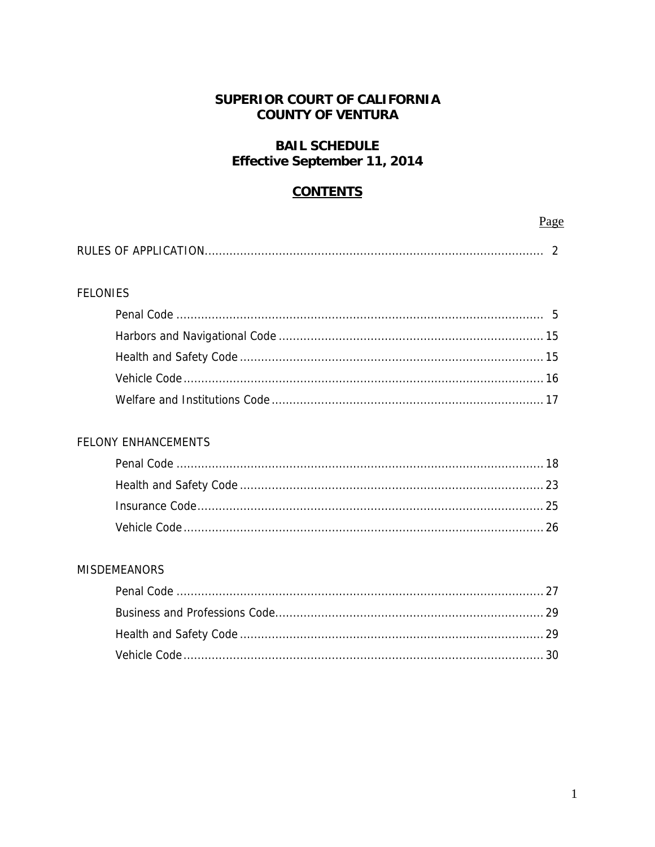## SUPERIOR COURT OF CALIFORNIA **COUNTY OF VENTURA**

# **BAIL SCHEDULE** Effective September 11, 2014

# **CONTENTS**

| <b>FELONIES</b>            |
|----------------------------|
|                            |
|                            |
|                            |
|                            |
|                            |
| <b>FELONY ENHANCEMENTS</b> |
|                            |
|                            |
|                            |
|                            |
| <b>MISDEMEANORS</b>        |
|                            |
|                            |
|                            |
|                            |
|                            |
|                            |
|                            |

Page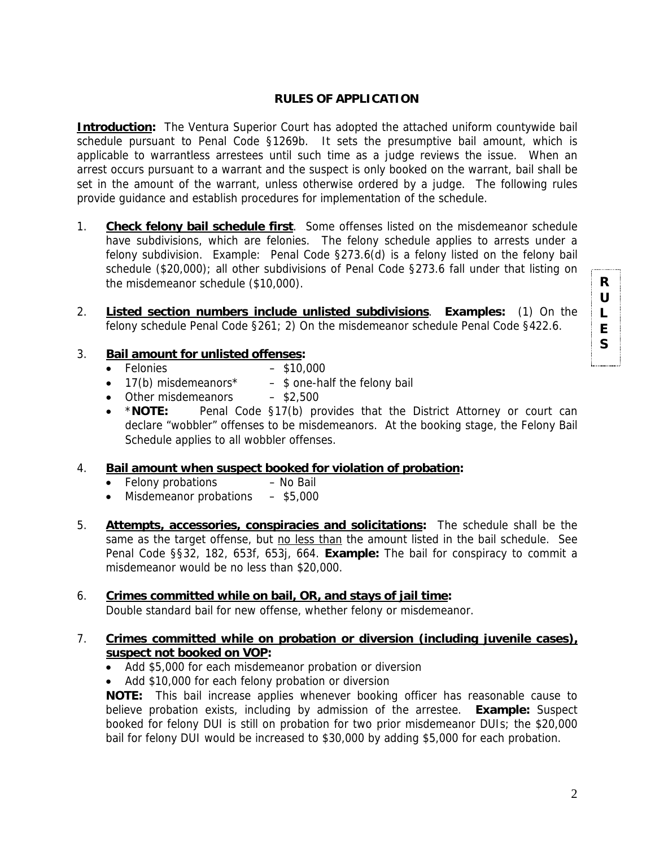#### **RULES OF APPLICATION**

**Introduction:** The Ventura Superior Court has adopted the attached uniform countywide bail schedule pursuant to Penal Code §1269b. It sets the presumptive bail amount, which is applicable to warrantless arrestees until such time as a judge reviews the issue. When an arrest occurs pursuant to a warrant and the suspect is only booked on the warrant, bail shall be set in the amount of the warrant, unless otherwise ordered by a judge. The following rules provide guidance and establish procedures for implementation of the schedule.

- 1. **Check felony bail schedule first**. Some offenses listed on the misdemeanor schedule have subdivisions, which are felonies. The felony schedule applies to arrests under a felony subdivision. Example: Penal Code §273.6(d) is a felony listed on the felony bail schedule (\$20,000); all other subdivisions of Penal Code §273.6 fall under that listing on the misdemeanor schedule (\$10,000).
- 2. **Listed section numbers include unlisted subdivisions**. **Examples:** (1) On the felony schedule Penal Code §261; 2) On the misdemeanor schedule Penal Code §422.6.

#### 3. **Bail amount for unlisted offenses:**

- 
- Felonies \$10,000
- 17(b) misdemeanors\*  $\sin$  one-half the felony bail
- Other misdemeanors \$2,500
- \***NOTE:** Penal Code §17(b) provides that the District Attorney or court can declare "wobbler" offenses to be misdemeanors. At the booking stage, the Felony Bail Schedule applies to all wobbler offenses.

#### 4. **Bail amount when suspect booked for violation of probation:**

- Felony probations No Bail
- Misdemeanor probations \$5,000
- 5. **Attempts, accessories, conspiracies and solicitations:** The schedule shall be the same as the target offense, but no less than the amount listed in the bail schedule. See Penal Code §§32, 182, 653f, 653j, 664. **Example:** The bail for conspiracy to commit a misdemeanor would be no less than \$20,000.
- 6. **Crimes committed while on bail, OR, and stays of jail time:**  Double standard bail for new offense, whether felony or misdemeanor.

#### 7. **Crimes committed while on probation or diversion (including juvenile cases), suspect not booked on VOP:**

- Add \$5,000 for each misdemeanor probation or diversion
- Add \$10,000 for each felony probation or diversion

 **NOTE:** This bail increase applies whenever booking officer has reasonable cause to believe probation exists, including by admission of the arrestee. **Example:** Suspect booked for felony DUI is still on probation for two prior misdemeanor DUIs; the \$20,000 bail for felony DUI would be increased to \$30,000 by adding \$5,000 for each probation.

**R U L E S**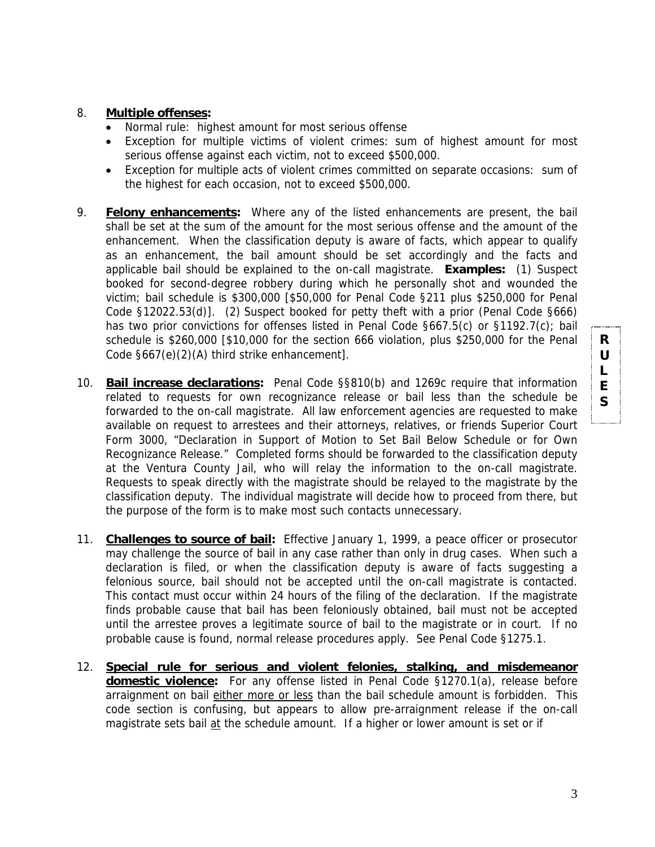#### 8. **Multiple offenses:**

- Normal rule: highest amount for most serious offense
- Exception for multiple victims of violent crimes: sum of highest amount for most serious offense against each victim, not to exceed \$500,000.
- Exception for multiple acts of violent crimes committed on separate occasions: sum of the highest for each occasion, not to exceed \$500,000.
- 9. **Felony enhancements:** Where any of the listed enhancements are present, the bail shall be set at the sum of the amount for the most serious offense and the amount of the enhancement. When the classification deputy is aware of facts, which appear to qualify as an enhancement, the bail amount should be set accordingly and the facts and applicable bail should be explained to the on-call magistrate. **Examples:** (1) Suspect booked for second-degree robbery during which he personally shot and wounded the victim; bail schedule is \$300,000 [\$50,000 for Penal Code §211 plus \$250,000 for Penal Code §12022.53(d)]. (2) Suspect booked for petty theft with a prior (Penal Code §666) has two prior convictions for offenses listed in Penal Code §667.5(c) or §1192.7(c); bail schedule is \$260,000 [\$10,000 for the section 666 violation, plus \$250,000 for the Penal Code §667(e)(2)(A) third strike enhancement].
- 10. **Bail increase declarations:** Penal Code §§810(b) and 1269c require that information related to requests for own recognizance release or bail less than the schedule be forwarded to the on-call magistrate. All law enforcement agencies are requested to make available on request to arrestees and their attorneys, relatives, or friends Superior Court Form 3000, "Declaration in Support of Motion to Set Bail Below Schedule or for Own Recognizance Release." Completed forms should be forwarded to the classification deputy at the Ventura County Jail, who will relay the information to the on-call magistrate. Requests to speak directly with the magistrate should be relayed to the magistrate by the classification deputy. The individual magistrate will decide how to proceed from there, but the purpose of the form is to make most such contacts unnecessary.
- 11. **Challenges to source of bail:** Effective January 1, 1999, a peace officer or prosecutor may challenge the source of bail in any case rather than only in drug cases. When such a declaration is filed, or when the classification deputy is aware of facts suggesting a felonious source, bail should not be accepted until the on-call magistrate is contacted. This contact must occur within 24 hours of the filing of the declaration. If the magistrate finds probable cause that bail has been feloniously obtained, bail must not be accepted until the arrestee proves a legitimate source of bail to the magistrate or in court. If no probable cause is found, normal release procedures apply. See Penal Code §1275.1.
- 12. **Special rule for serious and violent felonies, stalking, and misdemeanor domestic violence:** For any offense listed in Penal Code §1270.1(a), release before arraignment on bail either more or less than the bail schedule amount is forbidden. This code section is confusing, but appears to allow pre-arraignment release if the on-call magistrate sets bail at the schedule amount. If a higher or lower amount is set or if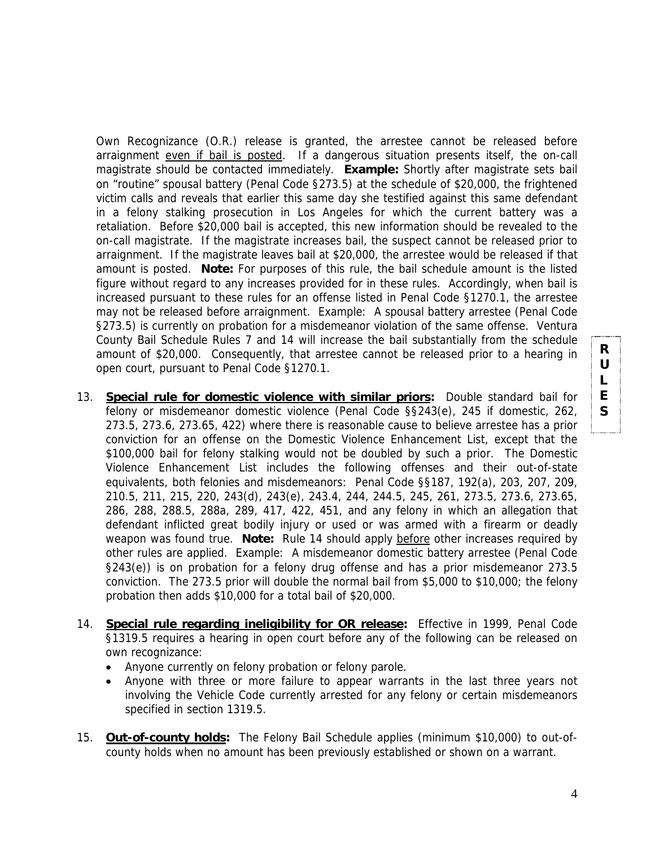Own Recognizance (O.R.) release is granted, the arrestee cannot be released before arraignment even if bail is posted. If a dangerous situation presents itself, the on-call magistrate should be contacted immediately. **Example:** Shortly after magistrate sets bail on "routine" spousal battery (Penal Code §273.5) at the schedule of \$20,000, the frightened victim calls and reveals that earlier this same day she testified against this same defendant in a felony stalking prosecution in Los Angeles for which the current battery was a retaliation. Before \$20,000 bail is accepted, this new information should be revealed to the on-call magistrate. If the magistrate increases bail, the suspect cannot be released prior to arraignment. If the magistrate leaves bail at \$20,000, the arrestee would be released if that amount is posted. **Note:** For purposes of this rule, the bail schedule amount is the listed figure without regard to any increases provided for in these rules. Accordingly, when bail is increased pursuant to these rules for an offense listed in Penal Code §1270.1, the arrestee may not be released before arraignment. Example: A spousal battery arrestee (Penal Code §273.5) is currently on probation for a misdemeanor violation of the same offense. Ventura County Bail Schedule Rules 7 and 14 will increase the bail substantially from the schedule amount of \$20,000. Consequently, that arrestee cannot be released prior to a hearing in open court, pursuant to Penal Code §1270.1.

- 13. **Special rule for domestic violence with similar priors:** Double standard bail for felony or misdemeanor domestic violence (Penal Code §§243(e), 245 if domestic, 262, 273.5, 273.6, 273.65, 422) where there is reasonable cause to believe arrestee has a prior conviction for an offense on the Domestic Violence Enhancement List, except that the \$100,000 bail for felony stalking would not be doubled by such a prior. The Domestic Violence Enhancement List includes the following offenses and their out-of-state equivalents, both felonies and misdemeanors: Penal Code §§187, 192(a), 203, 207, 209, 210.5, 211, 215, 220, 243(d), 243(e), 243.4, 244, 244.5, 245, 261, 273.5, 273.6, 273.65, 286, 288, 288.5, 288a, 289, 417, 422, 451, and any felony in which an allegation that defendant inflicted great bodily injury or used or was armed with a firearm or deadly weapon was found true. **Note:** Rule 14 should apply before other increases required by other rules are applied. Example: A misdemeanor domestic battery arrestee (Penal Code §243(e)) is on probation for a felony drug offense and has a prior misdemeanor 273.5 conviction. The 273.5 prior will double the normal bail from \$5,000 to \$10,000; the felony probation then adds \$10,000 for a total bail of \$20,000.
- 14. **Special rule regarding ineligibility for OR release:** Effective in 1999, Penal Code §1319.5 requires a hearing in open court before any of the following can be released on own recognizance:
	- Anyone currently on felony probation or felony parole.
	- Anyone with three or more failure to appear warrants in the last three years not involving the Vehicle Code currently arrested for any felony or certain misdemeanors specified in section 1319.5.
- 15. **Out-of-county holds:** The Felony Bail Schedule applies (minimum \$10,000) to out-ofcounty holds when no amount has been previously established or shown on a warrant.

**R U L E S** 

4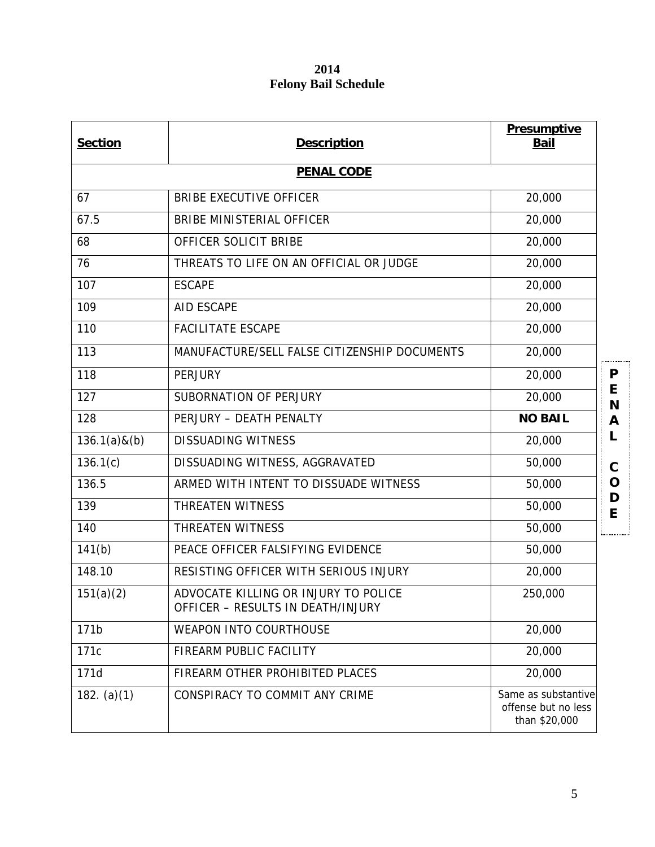| <b>Section</b>  | <b>Description</b>                                                        | <b>Presumptive</b><br><b>Bail</b>                           |
|-----------------|---------------------------------------------------------------------------|-------------------------------------------------------------|
|                 | <b>PENAL CODE</b>                                                         |                                                             |
| 67              | <b>BRIBE EXECUTIVE OFFICER</b>                                            | 20,000                                                      |
| 67.5            | BRIBE MINISTERIAL OFFICER                                                 | 20,000                                                      |
| 68              | OFFICER SOLICIT BRIBE                                                     | 20,000                                                      |
| 76              | THREATS TO LIFE ON AN OFFICIAL OR JUDGE                                   | 20,000                                                      |
| 107             | <b>ESCAPE</b>                                                             | 20,000                                                      |
| 109             | <b>AID ESCAPE</b>                                                         | 20,000                                                      |
| 110             | <b>FACILITATE ESCAPE</b>                                                  | 20,000                                                      |
| 113             | MANUFACTURE/SELL FALSE CITIZENSHIP DOCUMENTS                              | 20,000                                                      |
| 118             | <b>PERJURY</b>                                                            | P<br>20,000                                                 |
| 127             | SUBORNATION OF PERJURY                                                    | E<br>20,000<br>N                                            |
| 128             | PERJURY - DEATH PENALTY                                                   | <b>NO BAIL</b><br>A                                         |
| $136.1(a)$ &(b) | <b>DISSUADING WITNESS</b>                                                 | L<br>20,000                                                 |
| 136.1(c)        | DISSUADING WITNESS, AGGRAVATED                                            | 50,000<br>$\mathbf C$                                       |
| 136.5           | ARMED WITH INTENT TO DISSUADE WITNESS                                     | O<br>50,000                                                 |
| 139             | <b>THREATEN WITNESS</b>                                                   | D<br>50,000<br>E                                            |
| 140             | <b>THREATEN WITNESS</b>                                                   | 50,000                                                      |
| 141(b)          | PEACE OFFICER FALSIFYING EVIDENCE                                         | 50,000                                                      |
| 148.10          | <b>RESISTING OFFICER WITH SERIOUS INJURY</b>                              | 20,000                                                      |
| 151(a)(2)       | ADVOCATE KILLING OR INJURY TO POLICE<br>OFFICER - RESULTS IN DEATH/INJURY | 250,000                                                     |
| 171b            | <b>WEAPON INTO COURTHOUSE</b>                                             | 20,000                                                      |
| 171c            | FIREARM PUBLIC FACILITY                                                   | 20,000                                                      |
| 171d            | <b>FIREARM OTHER PROHIBITED PLACES</b>                                    | 20,000                                                      |
| 182. $(a)(1)$   | CONSPIRACY TO COMMIT ANY CRIME                                            | Same as substantive<br>offense but no less<br>than \$20,000 |

**E N A L C O D E**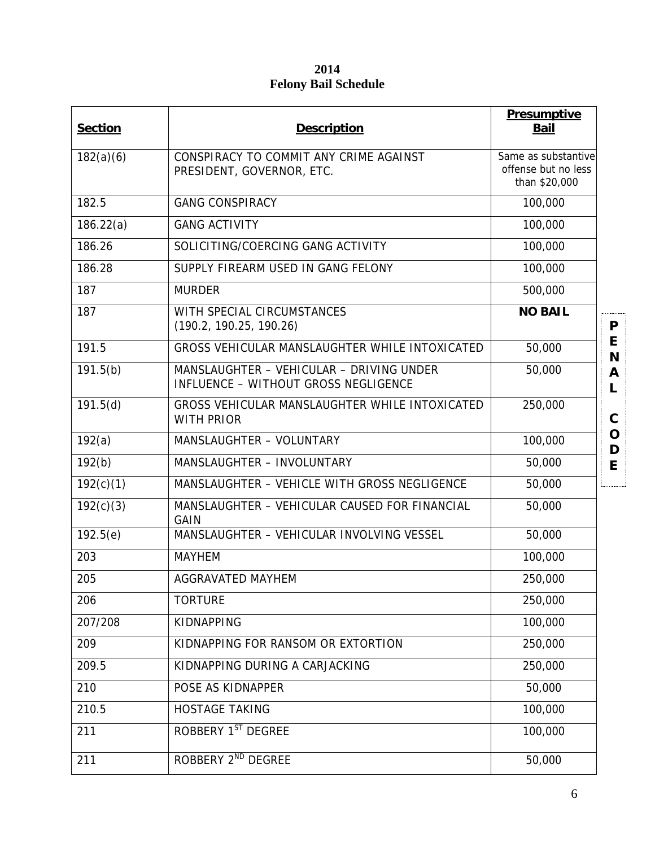| <b>Section</b> | <b>Description</b>                                                               | <b>Presumptive</b><br><b>Bail</b>                           |
|----------------|----------------------------------------------------------------------------------|-------------------------------------------------------------|
| 182(a)(6)      | CONSPIRACY TO COMMIT ANY CRIME AGAINST<br>PRESIDENT, GOVERNOR, ETC.              | Same as substantive<br>offense but no less<br>than \$20,000 |
| 182.5          | <b>GANG CONSPIRACY</b>                                                           | 100,000                                                     |
| 186.22(a)      | <b>GANG ACTIVITY</b>                                                             | 100,000                                                     |
| 186.26         | SOLICITING/COERCING GANG ACTIVITY                                                | 100,000                                                     |
| 186.28         | SUPPLY FIREARM USED IN GANG FELONY                                               | 100,000                                                     |
| 187            | <b>MURDER</b>                                                                    | 500,000                                                     |
| 187            | WITH SPECIAL CIRCUMSTANCES<br>(190.2, 190.25, 190.26)                            | <b>NO BAIL</b><br>P                                         |
| 191.5          | GROSS VEHICULAR MANSLAUGHTER WHILE INTOXICATED                                   | E<br>50,000<br>N                                            |
| 191.5(b)       | MANSLAUGHTER - VEHICULAR - DRIVING UNDER<br>INFLUENCE - WITHOUT GROSS NEGLIGENCE | 50,000<br>A                                                 |
| 191.5(d)       | GROSS VEHICULAR MANSLAUGHTER WHILE INTOXICATED<br><b>WITH PRIOR</b>              | 250,000<br>$\mathbf C$                                      |
| 192(a)         | MANSLAUGHTER - VOLUNTARY                                                         | O<br>100,000<br>D                                           |
| 192(b)         | MANSLAUGHTER - INVOLUNTARY                                                       | 50,000<br>E                                                 |
| 192(c)(1)      | MANSLAUGHTER - VEHICLE WITH GROSS NEGLIGENCE                                     | 50,000                                                      |
| 192(c)(3)      | MANSLAUGHTER - VEHICULAR CAUSED FOR FINANCIAL<br>GAIN                            | 50,000                                                      |
| 192.5(e)       | MANSLAUGHTER - VEHICULAR INVOLVING VESSEL                                        | 50,000                                                      |
| 203            | <b>MAYHEM</b>                                                                    | 100,000                                                     |
| 205            | AGGRAVATED MAYHEM                                                                | 250,000                                                     |
| 206            | <b>TORTURE</b>                                                                   | 250,000                                                     |
| 207/208        | <b>KIDNAPPING</b>                                                                | 100,000                                                     |
| 209            | KIDNAPPING FOR RANSOM OR EXTORTION                                               | 250,000                                                     |
| 209.5          | KIDNAPPING DURING A CARJACKING                                                   | 250,000                                                     |
| 210            | POSE AS KIDNAPPER                                                                | 50,000                                                      |
| 210.5          | <b>HOSTAGE TAKING</b>                                                            | 100,000                                                     |
| 211            | ROBBERY 1ST DEGREE                                                               | 100,000                                                     |
| 211            | ROBBERY 2 <sup>ND</sup> DEGREE                                                   | 50,000                                                      |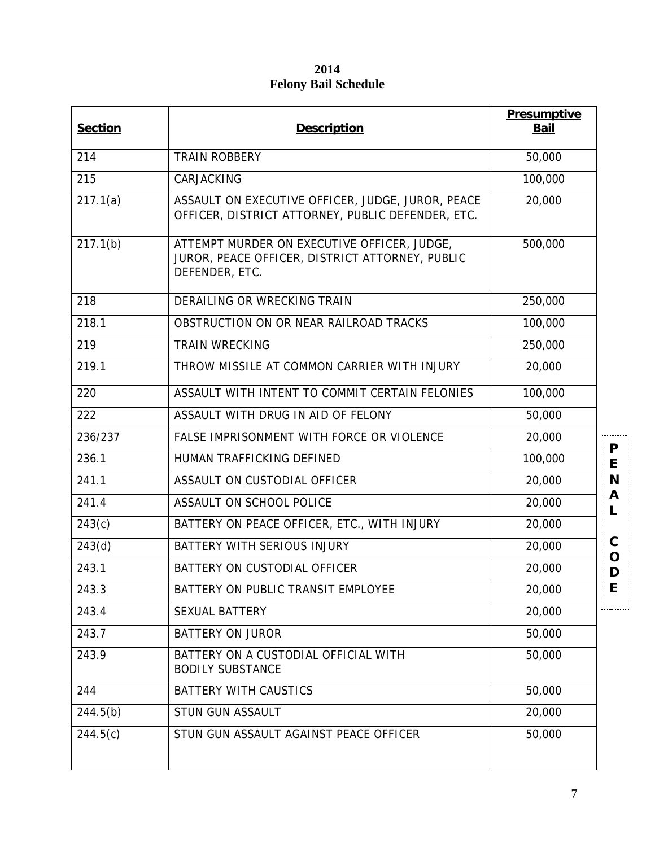| 2014                        |  |
|-----------------------------|--|
| <b>Felony Bail Schedule</b> |  |

| <b>Section</b> | <b>Description</b>                                                                                               | <b>Presumptive</b><br><b>Bail</b> |
|----------------|------------------------------------------------------------------------------------------------------------------|-----------------------------------|
| 214            | <b>TRAIN ROBBERY</b>                                                                                             | 50,000                            |
| 215            | CARJACKING                                                                                                       | 100,000                           |
| 217.1(a)       | ASSAULT ON EXECUTIVE OFFICER, JUDGE, JUROR, PEACE<br>OFFICER, DISTRICT ATTORNEY, PUBLIC DEFENDER, ETC.           | 20,000                            |
| 217.1(b)       | ATTEMPT MURDER ON EXECUTIVE OFFICER, JUDGE,<br>JUROR, PEACE OFFICER, DISTRICT ATTORNEY, PUBLIC<br>DEFENDER, ETC. | 500,000                           |
| 218            | DERAILING OR WRECKING TRAIN                                                                                      | 250,000                           |
| 218.1          | OBSTRUCTION ON OR NEAR RAILROAD TRACKS                                                                           | 100,000                           |
| 219            | <b>TRAIN WRECKING</b>                                                                                            | 250,000                           |
| 219.1          | THROW MISSILE AT COMMON CARRIER WITH INJURY                                                                      | 20,000                            |
| 220            | ASSAULT WITH INTENT TO COMMIT CERTAIN FELONIES                                                                   | 100,000                           |
| 222            | ASSAULT WITH DRUG IN AID OF FELONY                                                                               | 50,000                            |
| 236/237        | FALSE IMPRISONMENT WITH FORCE OR VIOLENCE                                                                        | 20,000                            |
| 236.1          | HUMAN TRAFFICKING DEFINED                                                                                        | P<br>100,000<br>E                 |
| 241.1          | ASSAULT ON CUSTODIAL OFFICER                                                                                     | N<br>20,000                       |
| 241.4          | ASSAULT ON SCHOOL POLICE                                                                                         | A<br>20,000                       |
| 243(c)         | BATTERY ON PEACE OFFICER, ETC., WITH INJURY                                                                      | 20,000                            |
| 243(d)         | BATTERY WITH SERIOUS INJURY                                                                                      | C<br>20,000<br>O                  |
| 243.1          | BATTERY ON CUSTODIAL OFFICER                                                                                     | 20,000<br>D                       |
| 243.3          | BATTERY ON PUBLIC TRANSIT EMPLOYEE                                                                               | E<br>20,000                       |
| 243.4          | <b>SEXUAL BATTERY</b>                                                                                            | 20,000                            |
| 243.7          | <b>BATTERY ON JUROR</b>                                                                                          | 50,000                            |
| 243.9          | BATTERY ON A CUSTODIAL OFFICIAL WITH<br><b>BODILY SUBSTANCE</b>                                                  | 50,000                            |
| 244            | BATTERY WITH CAUSTICS                                                                                            | 50,000                            |
| 244.5(b)       | <b>STUN GUN ASSAULT</b>                                                                                          | 20,000                            |
| 244.5(c)       | STUN GUN ASSAULT AGAINST PEACE OFFICER                                                                           | 50,000                            |

**P E N A L** 

**C O D E**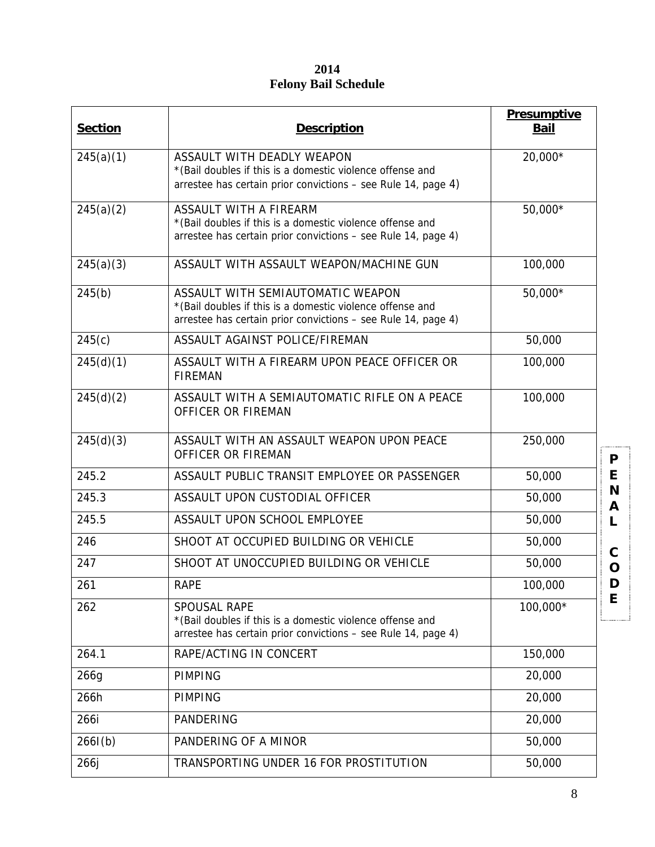| <b>Section</b> | <b>Description</b>                                                                                                                                              | <b>Presumptive</b><br><b>Bail</b> |
|----------------|-----------------------------------------------------------------------------------------------------------------------------------------------------------------|-----------------------------------|
| 245(a)(1)      | ASSAULT WITH DEADLY WEAPON<br>*(Bail doubles if this is a domestic violence offense and<br>arrestee has certain prior convictions - see Rule 14, page 4)        | 20,000*                           |
| 245(a)(2)      | <b>ASSAULT WITH A FIREARM</b><br>*(Bail doubles if this is a domestic violence offense and<br>arrestee has certain prior convictions - see Rule 14, page 4)     | 50,000*                           |
| 245(a)(3)      | ASSAULT WITH ASSAULT WEAPON/MACHINE GUN                                                                                                                         | 100,000                           |
| 245(b)         | ASSAULT WITH SEMIAUTOMATIC WEAPON<br>*(Bail doubles if this is a domestic violence offense and<br>arrestee has certain prior convictions - see Rule 14, page 4) | 50,000*                           |
| 245(c)         | ASSAULT AGAINST POLICE/FIREMAN                                                                                                                                  | 50,000                            |
| 245(d)(1)      | ASSAULT WITH A FIREARM UPON PEACE OFFICER OR<br><b>FIREMAN</b>                                                                                                  | 100,000                           |
| 245(d)(2)      | ASSAULT WITH A SEMIAUTOMATIC RIFLE ON A PEACE<br>OFFICER OR FIREMAN                                                                                             | 100,000                           |
| 245(d)(3)      | ASSAULT WITH AN ASSAULT WEAPON UPON PEACE<br>OFFICER OR FIREMAN                                                                                                 | 250,000                           |
| 245.2          | ASSAULT PUBLIC TRANSIT EMPLOYEE OR PASSENGER                                                                                                                    | 50,000                            |
| 245.3          | ASSAULT UPON CUSTODIAL OFFICER                                                                                                                                  | 50,000                            |
| 245.5          | ASSAULT UPON SCHOOL EMPLOYEE                                                                                                                                    | 50,000                            |
| 246            | SHOOT AT OCCUPIED BUILDING OR VEHICLE                                                                                                                           | 50,000                            |
| 247            | SHOOT AT UNOCCUPIED BUILDING OR VEHICLE                                                                                                                         | 50,000                            |
| 261            | <b>RAPE</b>                                                                                                                                                     | 100,000                           |
| 262            | <b>SPOUSAL RAPE</b><br>*(Bail doubles if this is a domestic violence offense and<br>arrestee has certain prior convictions - see Rule 14, page 4)               | 100,000*                          |
| 264.1          | RAPE/ACTING IN CONCERT                                                                                                                                          | 150,000                           |
| 266g           | <b>PIMPING</b>                                                                                                                                                  | 20,000                            |
| 266h           | <b>PIMPING</b>                                                                                                                                                  | 20,000                            |
| 266i           | <b>PANDERING</b>                                                                                                                                                | 20,000                            |
| 266I(b)        | PANDERING OF A MINOR                                                                                                                                            | 50,000                            |
| 266j           | TRANSPORTING UNDER 16 FOR PROSTITUTION                                                                                                                          | 50,000                            |

**P E N A L** 

**C O D E**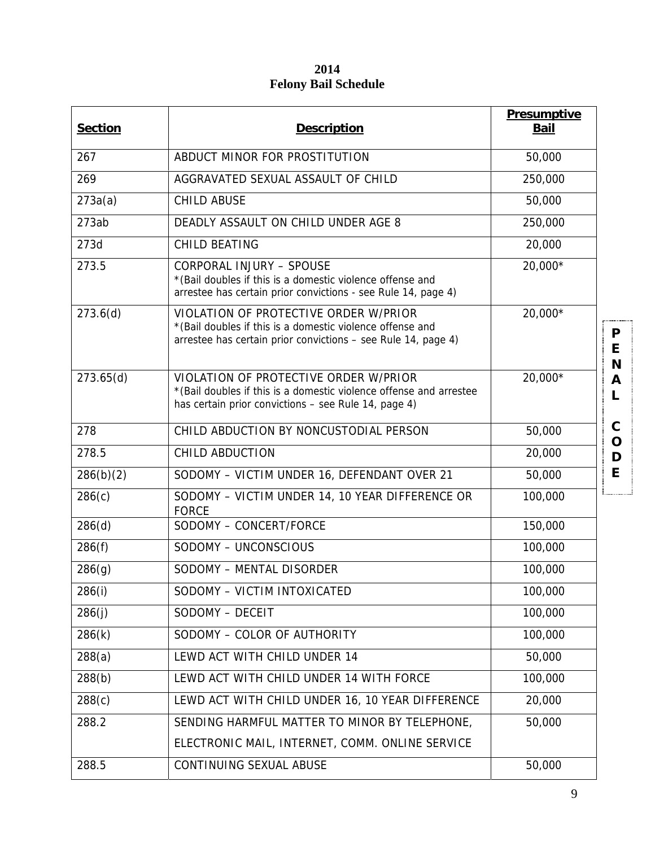| <b>Section</b> | <b>Description</b>                                                                                                                                                  | <b>Presumptive</b><br><b>Bail</b> |
|----------------|---------------------------------------------------------------------------------------------------------------------------------------------------------------------|-----------------------------------|
| 267            | ABDUCT MINOR FOR PROSTITUTION                                                                                                                                       | 50,000                            |
| 269            | AGGRAVATED SEXUAL ASSAULT OF CHILD                                                                                                                                  | 250,000                           |
| 273a(a)        | <b>CHILD ABUSE</b>                                                                                                                                                  | 50,000                            |
| 273ab          | DEADLY ASSAULT ON CHILD UNDER AGE 8                                                                                                                                 | 250,000                           |
| 273d           | <b>CHILD BEATING</b>                                                                                                                                                | 20,000                            |
| 273.5          | CORPORAL INJURY - SPOUSE<br>*(Bail doubles if this is a domestic violence offense and<br>arrestee has certain prior convictions - see Rule 14, page 4)              | 20,000*                           |
| 273.6(d)       | VIOLATION OF PROTECTIVE ORDER W/PRIOR<br>*(Bail doubles if this is a domestic violence offense and<br>arrestee has certain prior convictions - see Rule 14, page 4) | 20,000*<br>P<br>E<br>N            |
| 273.65(d)      | VIOLATION OF PROTECTIVE ORDER W/PRIOR<br>*(Bail doubles if this is a domestic violence offense and arrestee<br>has certain prior convictions - see Rule 14, page 4) | 20,000*<br>A<br>L                 |
| 278            | CHILD ABDUCTION BY NONCUSTODIAL PERSON                                                                                                                              | C<br>50,000<br>O                  |
| 278.5          | <b>CHILD ABDUCTION</b>                                                                                                                                              | 20,000<br>D                       |
| 286(b)(2)      | SODOMY - VICTIM UNDER 16, DEFENDANT OVER 21                                                                                                                         | E<br>50,000                       |
| 286(c)         | SODOMY - VICTIM UNDER 14, 10 YEAR DIFFERENCE OR<br><b>FORCE</b>                                                                                                     | 100,000                           |
| 286(d)         | SODOMY - CONCERT/FORCE                                                                                                                                              | 150,000                           |
| 286(f)         | SODOMY - UNCONSCIOUS                                                                                                                                                | 100,000                           |
| 286(g)         | SODOMY - MENTAL DISORDER                                                                                                                                            | 100,000                           |
| 286(i)         | SODOMY - VICTIM INTOXICATED                                                                                                                                         | 100,000                           |
| 286(j)         | SODOMY - DECEIT                                                                                                                                                     | 100,000                           |
| 286(k)         | SODOMY - COLOR OF AUTHORITY                                                                                                                                         | 100,000                           |
| 288(a)         | LEWD ACT WITH CHILD UNDER 14                                                                                                                                        | 50,000                            |
| 288(b)         | LEWD ACT WITH CHILD UNDER 14 WITH FORCE                                                                                                                             | 100,000                           |
| 288(c)         | LEWD ACT WITH CHILD UNDER 16, 10 YEAR DIFFERENCE                                                                                                                    | 20,000                            |
| 288.2          | SENDING HARMFUL MATTER TO MINOR BY TELEPHONE,<br>ELECTRONIC MAIL, INTERNET, COMM. ONLINE SERVICE                                                                    | 50,000                            |
| 288.5          | CONTINUING SEXUAL ABUSE                                                                                                                                             | 50,000                            |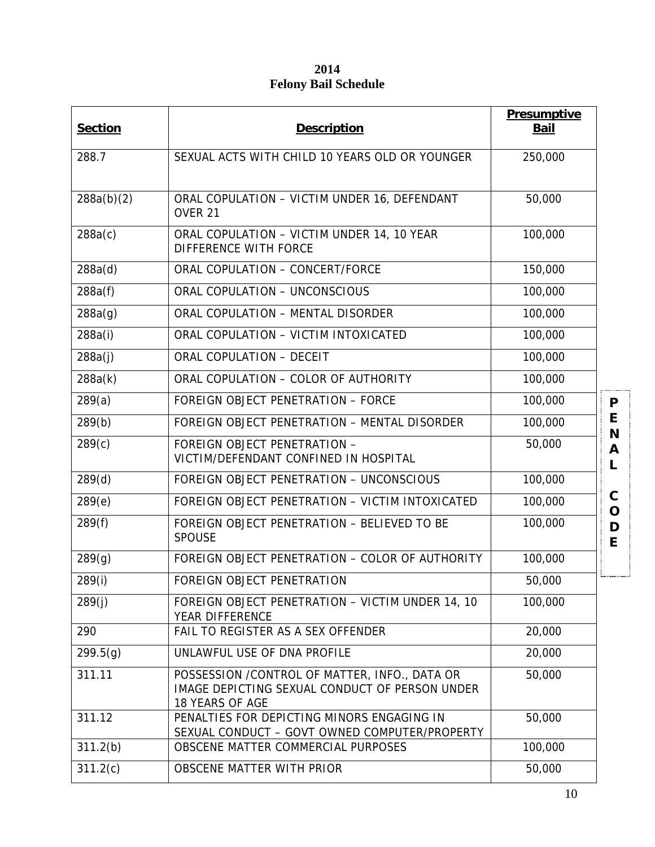| <b>Section</b> | <b>Description</b>                                                                                                  | Presumptive<br><b>Bail</b> |
|----------------|---------------------------------------------------------------------------------------------------------------------|----------------------------|
| 288.7          | SEXUAL ACTS WITH CHILD 10 YEARS OLD OR YOUNGER                                                                      | 250,000                    |
| 288a(b)(2)     | ORAL COPULATION - VICTIM UNDER 16, DEFENDANT<br><b>OVER 21</b>                                                      | 50,000                     |
| 288a(c)        | ORAL COPULATION - VICTIM UNDER 14, 10 YEAR<br><b>DIFFERENCE WITH FORCE</b>                                          | 100,000                    |
| 288a(d)        | ORAL COPULATION - CONCERT/FORCE                                                                                     | 150,000                    |
| 288a(f)        | ORAL COPULATION - UNCONSCIOUS                                                                                       | 100,000                    |
| 288a(g)        | ORAL COPULATION - MENTAL DISORDER                                                                                   | 100,000                    |
| 288a(i)        | ORAL COPULATION - VICTIM INTOXICATED                                                                                | 100,000                    |
| 288a(j)        | ORAL COPULATION - DECEIT                                                                                            | 100,000                    |
| 288a(k)        | ORAL COPULATION - COLOR OF AUTHORITY                                                                                | 100,000                    |
| 289(a)         | FOREIGN OBJECT PENETRATION - FORCE                                                                                  | 100,000                    |
| 289(b)         | FOREIGN OBJECT PENETRATION - MENTAL DISORDER                                                                        | 100,000                    |
| 289(c)         | FOREIGN OBJECT PENETRATION -<br>VICTIM/DEFENDANT CONFINED IN HOSPITAL                                               | 50,000                     |
| 289(d)         | FOREIGN OBJECT PENETRATION - UNCONSCIOUS                                                                            | 100,000                    |
| 289(e)         | FOREIGN OBJECT PENETRATION - VICTIM INTOXICATED                                                                     | 100,000                    |
| 289(f)         | FOREIGN OBJECT PENETRATION - BELIEVED TO BE<br><b>SPOUSE</b>                                                        | 100,000                    |
| 289(g)         | FOREIGN OBJECT PENETRATION - COLOR OF AUTHORITY                                                                     | 100,000                    |
| 289(i)         | FOREIGN OBJECT PENETRATION                                                                                          | 50,000                     |
| 289(j)         | FOREIGN OBJECT PENETRATION - VICTIM UNDER 14, 10<br><b>YEAR DIFFERENCE</b>                                          | 100,000                    |
| 290            | FAIL TO REGISTER AS A SEX OFFENDER                                                                                  | 20,000                     |
| 299.5(g)       | UNLAWFUL USE OF DNA PROFILE                                                                                         | 20,000                     |
| 311.11         | POSSESSION / CONTROL OF MATTER, INFO., DATA OR<br>IMAGE DEPICTING SEXUAL CONDUCT OF PERSON UNDER<br>18 YEARS OF AGE | 50,000                     |
| 311.12         | PENALTIES FOR DEPICTING MINORS ENGAGING IN<br>SEXUAL CONDUCT - GOVT OWNED COMPUTER/PROPERTY                         | 50,000                     |
| 311.2(b)       | OBSCENE MATTER COMMERCIAL PURPOSES                                                                                  | 100,000                    |
| 311.2(c)       | OBSCENE MATTER WITH PRIOR                                                                                           | 50,000                     |

**E** 

**P E N A L** 

**C O D**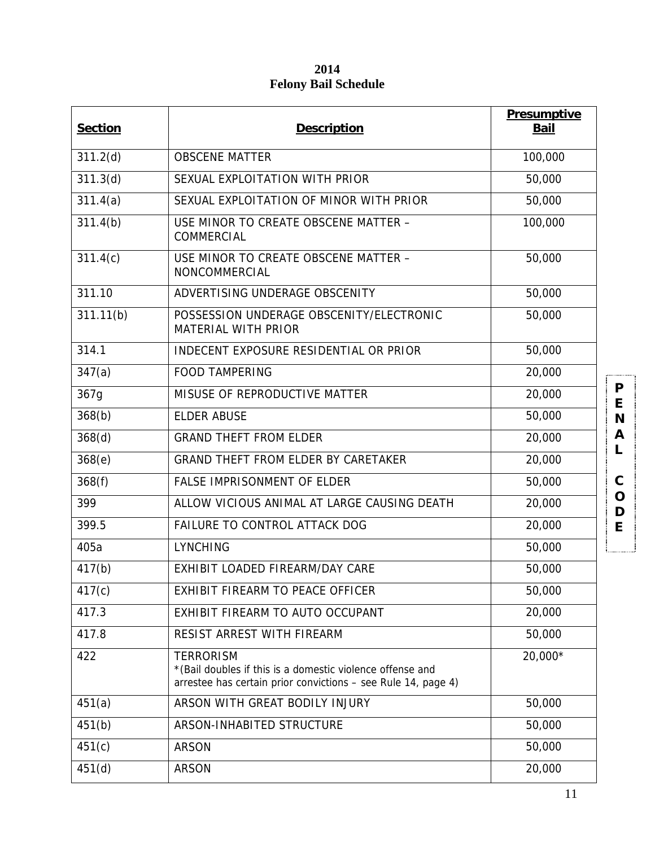| 2014 |                             |  |
|------|-----------------------------|--|
|      | <b>Felony Bail Schedule</b> |  |

| <b>Section</b>       | <b>Description</b>                                                                                                                             | <b>Presumptive</b><br><b>Bail</b> |
|----------------------|------------------------------------------------------------------------------------------------------------------------------------------------|-----------------------------------|
| 311.2 <sub>(d)</sub> | <b>OBSCENE MATTER</b>                                                                                                                          | 100,000                           |
| 311.3(d)             | SEXUAL EXPLOITATION WITH PRIOR                                                                                                                 | 50,000                            |
| 311.4(a)             | SEXUAL EXPLOITATION OF MINOR WITH PRIOR                                                                                                        | 50,000                            |
| 311.4(b)             | USE MINOR TO CREATE OBSCENE MATTER -<br>COMMERCIAL                                                                                             | 100,000                           |
| 311.4(c)             | USE MINOR TO CREATE OBSCENE MATTER -<br>NONCOMMERCIAL                                                                                          | 50,000                            |
| 311.10               | ADVERTISING UNDERAGE OBSCENITY                                                                                                                 | 50,000                            |
| 311.11(b)            | POSSESSION UNDERAGE OBSCENITY/ELECTRONIC<br><b>MATERIAL WITH PRIOR</b>                                                                         | 50,000                            |
| 314.1                | INDECENT EXPOSURE RESIDENTIAL OR PRIOR                                                                                                         | 50,000                            |
| 347(a)               | <b>FOOD TAMPERING</b>                                                                                                                          | 20,000                            |
| 367g                 | MISUSE OF REPRODUCTIVE MATTER                                                                                                                  | 20,000                            |
| 368(b)               | <b>ELDER ABUSE</b>                                                                                                                             | 50,000                            |
| 368(d)               | <b>GRAND THEFT FROM ELDER</b>                                                                                                                  | 20,000                            |
| 368(e)               | <b>GRAND THEFT FROM ELDER BY CARETAKER</b>                                                                                                     | 20,000                            |
| 368(f)               | <b>FALSE IMPRISONMENT OF ELDER</b>                                                                                                             | 50,000                            |
| 399                  | ALLOW VICIOUS ANIMAL AT LARGE CAUSING DEATH                                                                                                    | 20,000                            |
| 399.5                | FAILURE TO CONTROL ATTACK DOG                                                                                                                  | 20,000                            |
| 405a                 | <b>LYNCHING</b>                                                                                                                                | 50,000                            |
| 417(b)               | EXHIBIT LOADED FIREARM/DAY CARE                                                                                                                | 50,000                            |
| 417(c)               | EXHIBIT FIREARM TO PEACE OFFICER                                                                                                               | 50,000                            |
| 417.3                | EXHIBIT FIREARM TO AUTO OCCUPANT                                                                                                               | 20,000                            |
| 417.8                | RESIST ARREST WITH FIREARM                                                                                                                     | 50,000                            |
| 422                  | <b>TERRORISM</b><br>*(Bail doubles if this is a domestic violence offense and<br>arrestee has certain prior convictions - see Rule 14, page 4) | 20,000*                           |
| 451(a)               | ARSON WITH GREAT BODILY INJURY                                                                                                                 | 50,000                            |
| 451(b)               | ARSON-INHABITED STRUCTURE                                                                                                                      | 50,000                            |
| 451(c)               | <b>ARSON</b>                                                                                                                                   | 50,000                            |
| 451(d)               | <b>ARSON</b>                                                                                                                                   | 20,000                            |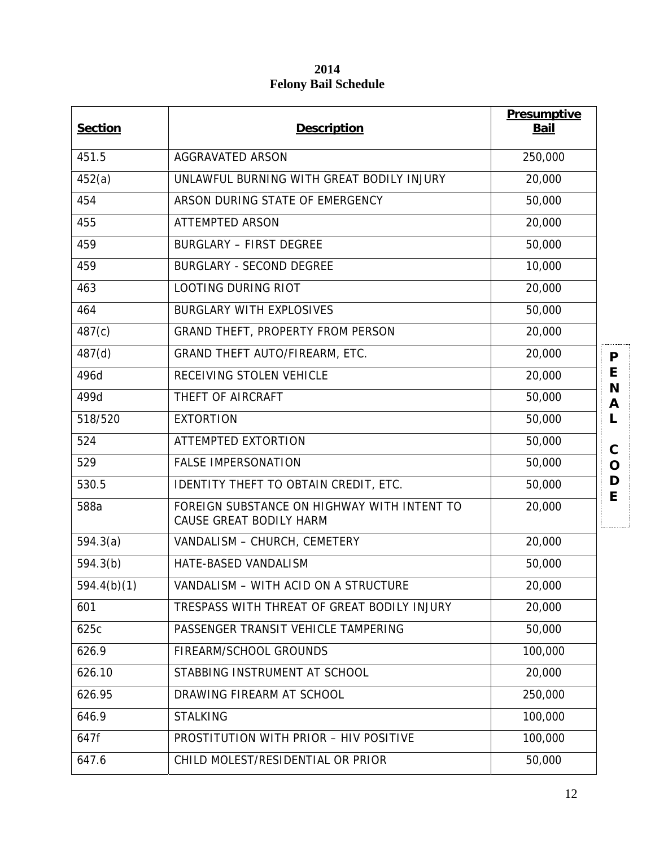| <b>Section</b> | <b>Description</b>                                                     | <b>Presumptive</b><br><b>Bail</b> |             |
|----------------|------------------------------------------------------------------------|-----------------------------------|-------------|
| 451.5          | AGGRAVATED ARSON                                                       | 250,000                           |             |
| 452(a)         | UNLAWFUL BURNING WITH GREAT BODILY INJURY                              | 20,000                            |             |
| 454            | ARSON DURING STATE OF EMERGENCY                                        | 50,000                            |             |
| 455            | <b>ATTEMPTED ARSON</b>                                                 | 20,000                            |             |
| 459            | <b>BURGLARY - FIRST DEGREE</b>                                         | 50,000                            |             |
| 459            | <b>BURGLARY - SECOND DEGREE</b>                                        | 10,000                            |             |
| 463            | <b>LOOTING DURING RIOT</b>                                             | 20,000                            |             |
| 464            | <b>BURGLARY WITH EXPLOSIVES</b>                                        | 50,000                            |             |
| 487(c)         | <b>GRAND THEFT, PROPERTY FROM PERSON</b>                               | 20,000                            |             |
| 487(d)         | GRAND THEFT AUTO/FIREARM, ETC.                                         | 20,000                            | P           |
| 496d           | RECEIVING STOLEN VEHICLE                                               | 20,000                            | E           |
| 499d           | THEFT OF AIRCRAFT                                                      | 50,000                            | N<br>A      |
| 518/520        | <b>EXTORTION</b>                                                       | 50,000                            | L           |
| 524            | <b>ATTEMPTED EXTORTION</b>                                             | 50,000                            | $\mathbf C$ |
| 529            | <b>FALSE IMPERSONATION</b>                                             | 50,000                            | O           |
| 530.5          | IDENTITY THEFT TO OBTAIN CREDIT, ETC.                                  | 50,000                            | D           |
| 588a           | FOREIGN SUBSTANCE ON HIGHWAY WITH INTENT TO<br>CAUSE GREAT BODILY HARM | 20,000                            | E           |
| 594.3(a)       | VANDALISM - CHURCH, CEMETERY                                           | 20,000                            |             |
| 594.3(b)       | HATE-BASED VANDALISM                                                   | 50,000                            |             |
| 594.4(b)(1)    | VANDALISM - WITH ACID ON A STRUCTURE                                   | 20,000                            |             |
| 601            | TRESPASS WITH THREAT OF GREAT BODILY INJURY                            | 20,000                            |             |
| 625c           | PASSENGER TRANSIT VEHICLE TAMPERING                                    | 50,000                            |             |
| 626.9          | FIREARM/SCHOOL GROUNDS                                                 | 100,000                           |             |
| 626.10         | STABBING INSTRUMENT AT SCHOOL                                          | 20,000                            |             |
| 626.95         | DRAWING FIREARM AT SCHOOL                                              | 250,000                           |             |
| 646.9          | <b>STALKING</b>                                                        | 100,000                           |             |
| 647f           | PROSTITUTION WITH PRIOR - HIV POSITIVE                                 | 100,000                           |             |
| 647.6          | CHILD MOLEST/RESIDENTIAL OR PRIOR                                      | 50,000                            |             |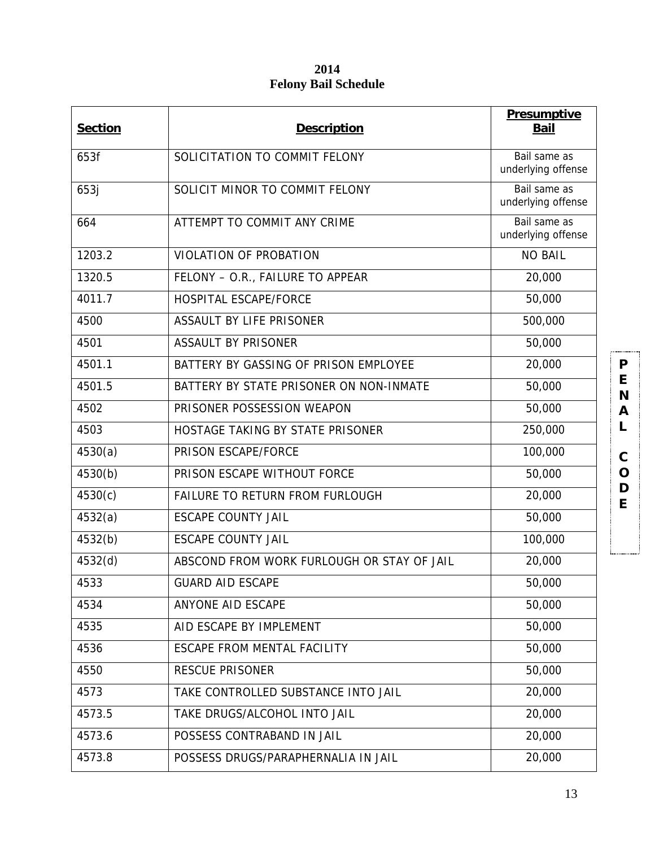| <b>Section</b> | <b>Description</b>                         | <b>Presumptive</b><br><b>Bail</b>  |
|----------------|--------------------------------------------|------------------------------------|
| 653f           | SOLICITATION TO COMMIT FELONY              | Bail same as<br>underlying offense |
| 653j           | SOLICIT MINOR TO COMMIT FELONY             | Bail same as<br>underlying offense |
| 664            | ATTEMPT TO COMMIT ANY CRIME                | Bail same as<br>underlying offense |
| 1203.2         | <b>VIOLATION OF PROBATION</b>              | <b>NO BAIL</b>                     |
| 1320.5         | FELONY - O.R., FAILURE TO APPEAR           | 20,000                             |
| 4011.7         | HOSPITAL ESCAPE/FORCE                      | 50,000                             |
| 4500           | ASSAULT BY LIFE PRISONER                   | 500,000                            |
| 4501           | <b>ASSAULT BY PRISONER</b>                 | 50,000                             |
| 4501.1         | BATTERY BY GASSING OF PRISON EMPLOYEE      | 20,000                             |
| 4501.5         | BATTERY BY STATE PRISONER ON NON-INMATE    | 50,000                             |
| 4502           | PRISONER POSSESSION WEAPON                 | 50,000                             |
| 4503           | HOSTAGE TAKING BY STATE PRISONER           | 250,000                            |
| 4530(a)        | PRISON ESCAPE/FORCE                        | 100,000                            |
| 4530(b)        | PRISON ESCAPE WITHOUT FORCE                | 50,000                             |
| 4530(c)        | <b>FAILURE TO RETURN FROM FURLOUGH</b>     | 20,000                             |
| 4532(a)        | <b>ESCAPE COUNTY JAIL</b>                  | 50,000                             |
| 4532(b)        | <b>ESCAPE COUNTY JAIL</b>                  | 100,000                            |
| 4532(d)        | ABSCOND FROM WORK FURLOUGH OR STAY OF JAIL | 20,000                             |
| 4533           | <b>GUARD AID ESCAPE</b>                    | 50,000                             |
| 4534           | ANYONE AID ESCAPE                          | 50,000                             |
| 4535           | AID ESCAPE BY IMPLEMENT                    | 50,000                             |
| 4536           | <b>ESCAPE FROM MENTAL FACILITY</b>         | 50,000                             |
| 4550           | <b>RESCUE PRISONER</b>                     | 50,000                             |
| 4573           | TAKE CONTROLLED SUBSTANCE INTO JAIL        | 20,000                             |
| 4573.5         | TAKE DRUGS/ALCOHOL INTO JAIL               | 20,000                             |
| 4573.6         | POSSESS CONTRABAND IN JAIL                 | 20,000                             |
| 4573.8         | POSSESS DRUGS/PARAPHERNALIA IN JAIL        | 20,000                             |

**P E N A L C O D E**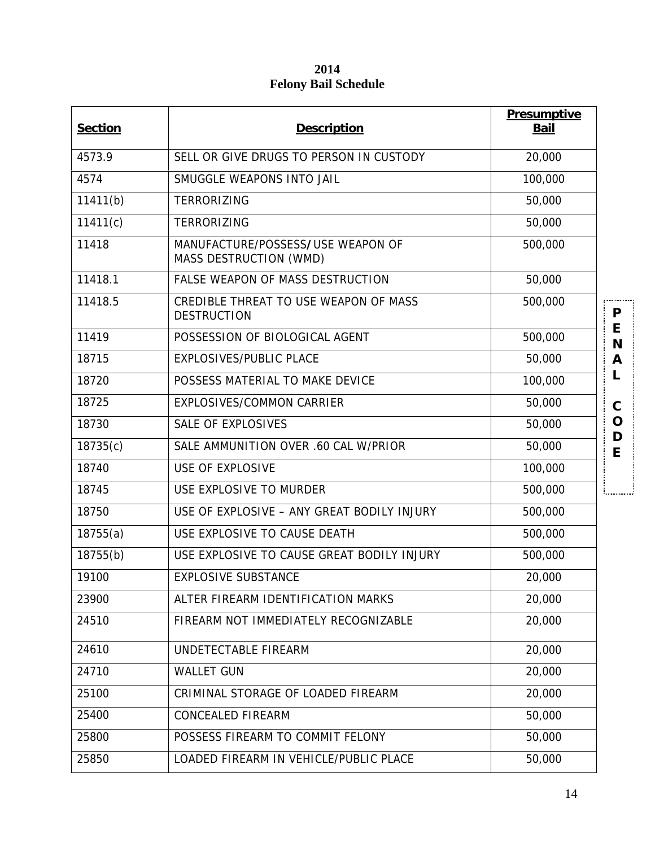| <b>Section</b> | <b>Description</b>                                          | Presumptive<br><b>Bail</b> |
|----------------|-------------------------------------------------------------|----------------------------|
| 4573.9         | SELL OR GIVE DRUGS TO PERSON IN CUSTODY                     | 20,000                     |
| 4574           | SMUGGLE WEAPONS INTO JAIL                                   | 100,000                    |
| 11411(b)       | <b>TERRORIZING</b>                                          | 50,000                     |
| 11411(c)       | <b>TERRORIZING</b>                                          | 50,000                     |
| 11418          | MANUFACTURE/POSSESS/USE WEAPON OF<br>MASS DESTRUCTION (WMD) | 500,000                    |
| 11418.1        | <b>FALSE WEAPON OF MASS DESTRUCTION</b>                     | 50,000                     |
| 11418.5        | CREDIBLE THREAT TO USE WEAPON OF MASS<br><b>DESTRUCTION</b> | 500,000                    |
| 11419          | POSSESSION OF BIOLOGICAL AGENT                              | 500,000                    |
| 18715          | <b>EXPLOSIVES/PUBLIC PLACE</b>                              | 50,000                     |
| 18720          | POSSESS MATERIAL TO MAKE DEVICE                             | 100,000                    |
| 18725          | EXPLOSIVES/COMMON CARRIER                                   | 50,000                     |
| 18730          | SALE OF EXPLOSIVES                                          | 50,000                     |
| 18735(c)       | SALE AMMUNITION OVER .60 CAL W/PRIOR                        | 50,000                     |
| 18740          | USE OF EXPLOSIVE                                            | 100,000                    |
| 18745          | USE EXPLOSIVE TO MURDER                                     | 500,000                    |
| 18750          | USE OF EXPLOSIVE - ANY GREAT BODILY INJURY                  | 500,000                    |
| 18755(a)       | USE EXPLOSIVE TO CAUSE DEATH                                | 500,000                    |
| 18755(b)       | USE EXPLOSIVE TO CAUSE GREAT BODILY INJURY                  | 500,000                    |
| 19100          | <b>EXPLOSIVE SUBSTANCE</b>                                  | 20,000                     |
| 23900          | ALTER FIREARM IDENTIFICATION MARKS                          | 20,000                     |
| 24510          | FIREARM NOT IMMEDIATELY RECOGNIZABLE                        | 20,000                     |
| 24610          | UNDETECTABLE FIREARM                                        | 20,000                     |
| 24710          | <b>WALLET GUN</b>                                           | 20,000                     |
| 25100          | CRIMINAL STORAGE OF LOADED FIREARM                          | 20,000                     |
| 25400          | <b>CONCEALED FIREARM</b>                                    | 50,000                     |
| 25800          | POSSESS FIREARM TO COMMIT FELONY                            | 50,000                     |
| 25850          | LOADED FIREARM IN VEHICLE/PUBLIC PLACE                      | 50,000                     |

**N A L C O D E** 

**P E**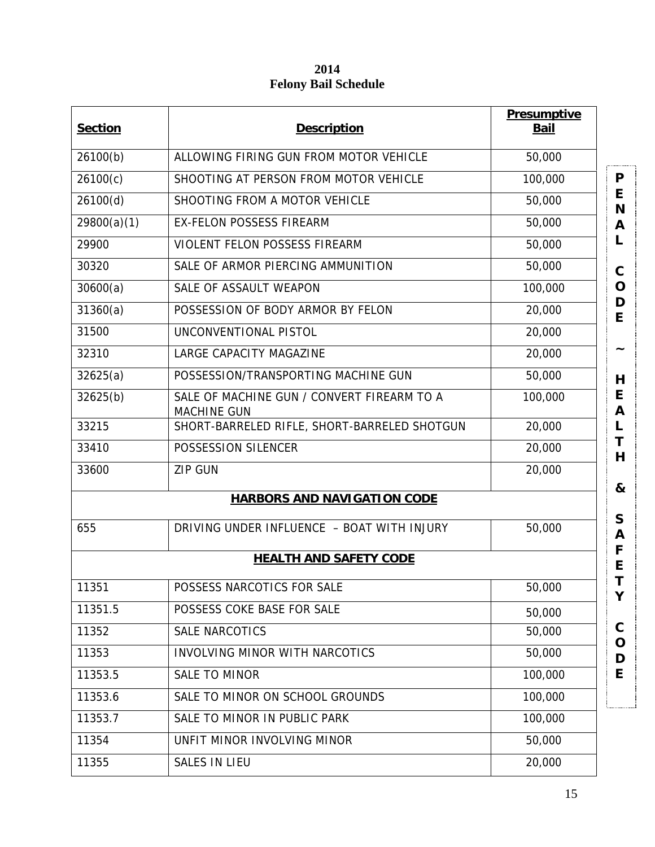| 2014 |                             |  |
|------|-----------------------------|--|
|      | <b>Felony Bail Schedule</b> |  |

| <b>Section</b> | <b>Description</b>                                               | <b>Presumptive</b><br><b>Bail</b> |
|----------------|------------------------------------------------------------------|-----------------------------------|
| 26100(b)       | ALLOWING FIRING GUN FROM MOTOR VEHICLE                           | 50,000                            |
| 26100(c)       | SHOOTING AT PERSON FROM MOTOR VEHICLE                            | 100,000                           |
| 26100(d)       | SHOOTING FROM A MOTOR VEHICLE                                    | 50,000                            |
| 29800(a)(1)    | <b>EX-FELON POSSESS FIREARM</b>                                  | 50,000                            |
| 29900          | <b>VIOLENT FELON POSSESS FIREARM</b>                             | 50,000                            |
| 30320          | SALE OF ARMOR PIERCING AMMUNITION                                | 50,000                            |
| 30600(a)       | SALE OF ASSAULT WEAPON                                           | 100,000                           |
| 31360(a)       | POSSESSION OF BODY ARMOR BY FELON                                | 20,000                            |
| 31500          | UNCONVENTIONAL PISTOL                                            | 20,000                            |
| 32310          | LARGE CAPACITY MAGAZINE                                          | 20,000                            |
| 32625(a)       | POSSESSION/TRANSPORTING MACHINE GUN                              | 50,000                            |
| 32625(b)       | SALE OF MACHINE GUN / CONVERT FIREARM TO A<br><b>MACHINE GUN</b> | 100,000                           |
| 33215          | SHORT-BARRELED RIFLE, SHORT-BARRELED SHOTGUN                     | 20,000                            |
| 33410          | POSSESSION SILENCER                                              | 20,000                            |
| 33600          | <b>ZIP GUN</b>                                                   | 20,000                            |
|                | <b>HARBORS AND NAVIGATION CODE</b>                               |                                   |
| 655            | DRIVING UNDER INFLUENCE - BOAT WITH INJURY                       | 50,000                            |
|                | <b>HEALTH AND SAFETY CODE</b>                                    |                                   |
| 11351          | POSSESS NARCOTICS FOR SALE                                       | 50,000                            |
| 11351.5        | POSSESS COKE BASE FOR SALE                                       | 50,000                            |
| 11352          | SALE NARCOTICS                                                   | 50,000                            |
| 11353          | INVOLVING MINOR WITH NARCOTICS                                   | 50,000                            |
| 11353.5        | <b>SALE TO MINOR</b>                                             | 100,000                           |
| 11353.6        | SALE TO MINOR ON SCHOOL GROUNDS                                  | 100,000                           |
| 11353.7        | SALE TO MINOR IN PUBLIC PARK                                     | 100,000                           |
| 11354          | UNFIT MINOR INVOLVING MINOR                                      | 50,000                            |
| 11355          | <b>SALES IN LIEU</b>                                             | 20,000                            |

**N A L C O D E ~ H E A L T H & S A F E T Y C O D E**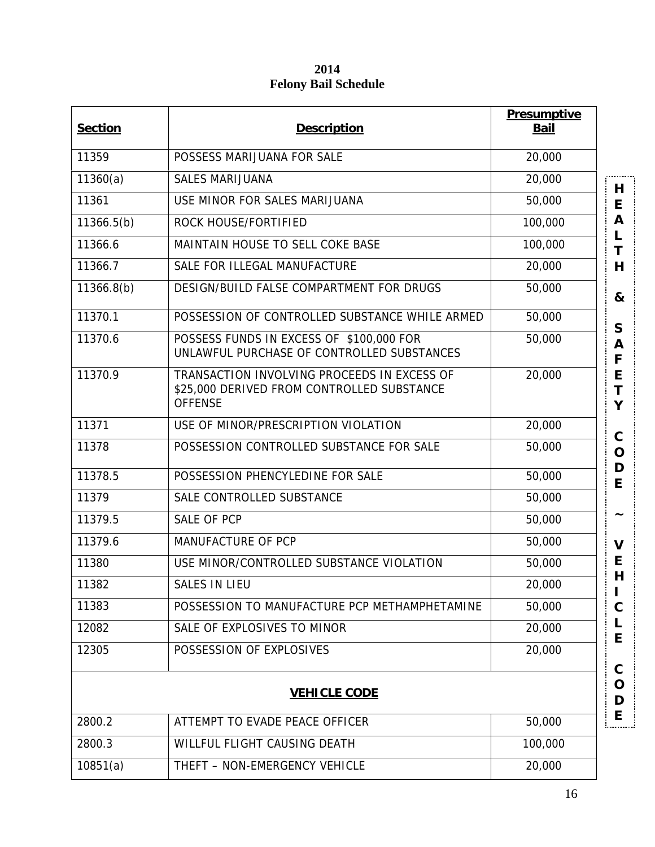| <b>Section</b> | <b>Description</b>                                                                                          | Presumptive<br><b>Bail</b> |
|----------------|-------------------------------------------------------------------------------------------------------------|----------------------------|
| 11359          | POSSESS MARIJUANA FOR SALE                                                                                  | 20,000                     |
| 11360(a)       | <b>SALES MARIJUANA</b>                                                                                      | 20,000                     |
| 11361          | USE MINOR FOR SALES MARIJUANA                                                                               | 50,000                     |
| 11366.5(b)     | ROCK HOUSE/FORTIFIED                                                                                        | 100,000                    |
| 11366.6        | MAINTAIN HOUSE TO SELL COKE BASE                                                                            | 100,000                    |
| 11366.7        | SALE FOR ILLEGAL MANUFACTURE                                                                                | 20,000                     |
| 11366.8(b)     | DESIGN/BUILD FALSE COMPARTMENT FOR DRUGS                                                                    | 50,000                     |
| 11370.1        | POSSESSION OF CONTROLLED SUBSTANCE WHILE ARMED                                                              | 50,000                     |
| 11370.6        | POSSESS FUNDS IN EXCESS OF \$100,000 FOR<br>UNLAWFUL PURCHASE OF CONTROLLED SUBSTANCES                      | 50,000                     |
| 11370.9        | TRANSACTION INVOLVING PROCEEDS IN EXCESS OF<br>\$25,000 DERIVED FROM CONTROLLED SUBSTANCE<br><b>OFFENSE</b> | 20,000                     |
| 11371          | USE OF MINOR/PRESCRIPTION VIOLATION                                                                         | 20,000                     |
| 11378          | POSSESSION CONTROLLED SUBSTANCE FOR SALE                                                                    | 50,000                     |
| 11378.5        | POSSESSION PHENCYLEDINE FOR SALE                                                                            | 50,000                     |
| 11379          | SALE CONTROLLED SUBSTANCE                                                                                   | 50,000                     |
| 11379.5        | SALE OF PCP                                                                                                 | 50,000                     |
| 11379.6        | MANUFACTURE OF PCP                                                                                          | 50,000                     |
| 11380          | USE MINOR/CONTROLLED SUBSTANCE VIOLATION                                                                    | 50,000                     |
| 11382          | SALES IN LIEU                                                                                               | 20,000                     |
| 11383          | POSSESSION TO MANUFACTURE PCP METHAMPHETAMINE                                                               | 50,000                     |
| 12082          | SALE OF EXPLOSIVES TO MINOR                                                                                 | 20,000                     |
| 12305          | POSSESSION OF EXPLOSIVES                                                                                    | 20,000                     |
|                | <b>VEHICLE CODE</b>                                                                                         |                            |
| 2800.2         | ATTEMPT TO EVADE PEACE OFFICER                                                                              | 50,000                     |
| 2800.3         | WILLFUL FLIGHT CAUSING DEATH                                                                                | 100,000                    |
| 10851(a)       | THEFT - NON-EMERGENCY VEHICLE                                                                               | 20,000                     |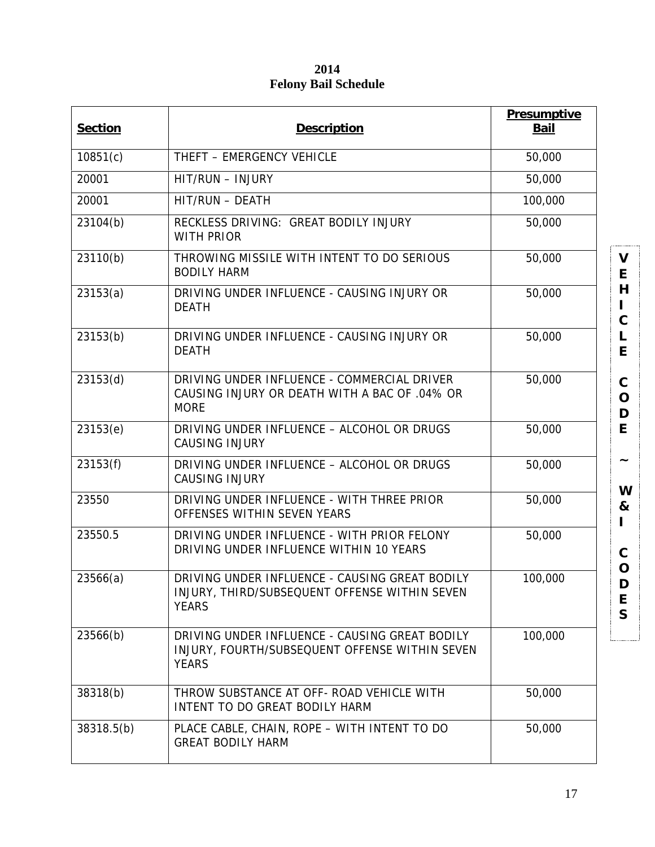| <b>Section</b> | <b>Description</b>                                                                                               | <b>Presumptive</b><br><b>Bail</b> |
|----------------|------------------------------------------------------------------------------------------------------------------|-----------------------------------|
| 10851(c)       | THEFT - EMERGENCY VEHICLE                                                                                        | 50,000                            |
| 20001          | HIT/RUN - INJURY                                                                                                 | 50,000                            |
| 20001          | HIT/RUN - DEATH                                                                                                  | 100,000                           |
| 23104(b)       | RECKLESS DRIVING: GREAT BODILY INJURY<br><b>WITH PRIOR</b>                                                       | 50,000                            |
| 23110(b)       | THROWING MISSILE WITH INTENT TO DO SERIOUS<br><b>BODILY HARM</b>                                                 | 50,000                            |
| 23153(a)       | DRIVING UNDER INFLUENCE - CAUSING INJURY OR<br><b>DEATH</b>                                                      | 50,000                            |
| 23153(b)       | DRIVING UNDER INFLUENCE - CAUSING INJURY OR<br><b>DEATH</b>                                                      | 50,000                            |
| 23153(d)       | DRIVING UNDER INFLUENCE - COMMERCIAL DRIVER<br>CAUSING INJURY OR DEATH WITH A BAC OF .04% OR<br><b>MORE</b>      | 50,000                            |
| 23153(e)       | DRIVING UNDER INFLUENCE - ALCOHOL OR DRUGS<br><b>CAUSING INJURY</b>                                              | 50,000                            |
| 23153(f)       | DRIVING UNDER INFLUENCE - ALCOHOL OR DRUGS<br><b>CAUSING INJURY</b>                                              | 50,000                            |
| 23550          | DRIVING UNDER INFLUENCE - WITH THREE PRIOR<br>OFFENSES WITHIN SEVEN YEARS                                        | 50,000                            |
| 23550.5        | DRIVING UNDER INFLUENCE - WITH PRIOR FELONY<br>DRIVING UNDER INFLUENCE WITHIN 10 YEARS                           | 50,000                            |
| 23566(a)       | DRIVING UNDER INFLUENCE - CAUSING GREAT BODILY<br>INJURY, THIRD/SUBSEQUENT OFFENSE WITHIN SEVEN<br><b>YEARS</b>  | 100,000                           |
| 23566(b)       | DRIVING UNDER INFLUENCE - CAUSING GREAT BODILY<br>INJURY, FOURTH/SUBSEQUENT OFFENSE WITHIN SEVEN<br><b>YEARS</b> | 100,000                           |
| 38318(b)       | THROW SUBSTANCE AT OFF- ROAD VEHICLE WITH<br><b>INTENT TO DO GREAT BODILY HARM</b>                               | 50,000                            |
| 38318.5(b)     | PLACE CABLE, CHAIN, ROPE - WITH INTENT TO DO<br><b>GREAT BODILY HARM</b>                                         | 50,000                            |

**E H I C L E C O D E ~ W & I C O D E S** 

**V**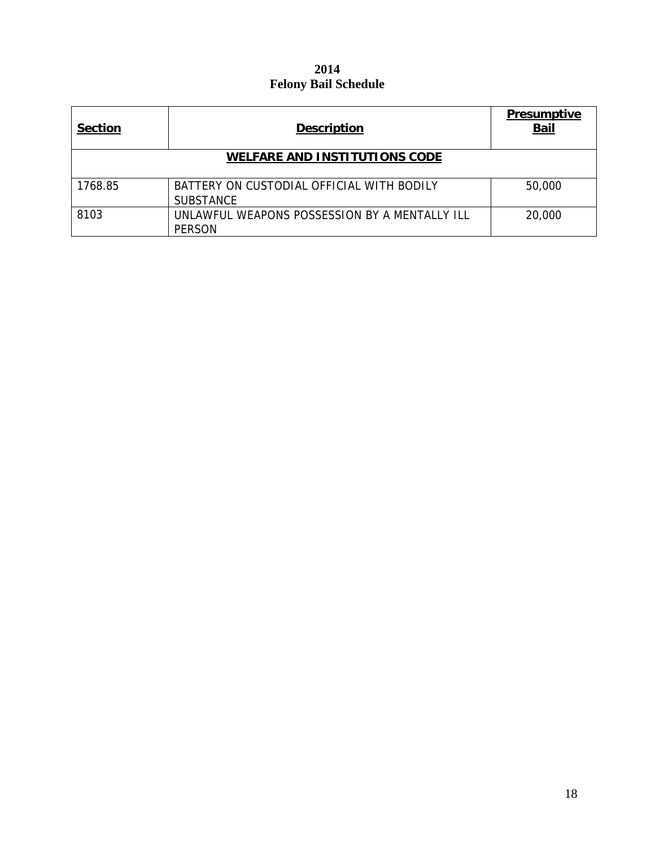| <b>Section</b> | <b>Description</b>                            | Presumptive<br><b>Bail</b> |
|----------------|-----------------------------------------------|----------------------------|
|                | WELFARE AND INSTITUTIONS CODE                 |                            |
|                |                                               |                            |
| 1768.85        | BATTERY ON CUSTODIAL OFFICIAL WITH BODILY     | 50,000                     |
|                | <b>SUBSTANCE</b>                              |                            |
| 8103           | UNLAWFUL WEAPONS POSSESSION BY A MENTALLY ILL | 20,000                     |
|                | <b>PERSON</b>                                 |                            |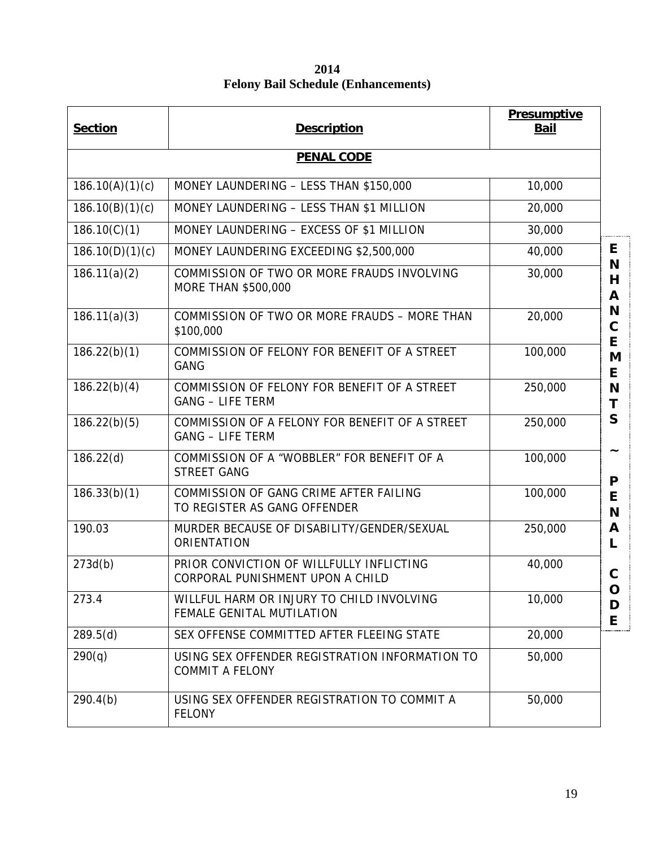| 2014                                       |
|--------------------------------------------|
| <b>Felony Bail Schedule (Enhancements)</b> |

| <b>Section</b>  | <b>Description</b>                                                           | <b>Presumptive</b><br><b>Bail</b> |
|-----------------|------------------------------------------------------------------------------|-----------------------------------|
|                 | <b>PENAL CODE</b>                                                            |                                   |
| 186.10(A)(1)(c) | MONEY LAUNDERING - LESS THAN \$150,000                                       | 10,000                            |
| 186.10(B)(1)(c) | MONEY LAUNDERING - LESS THAN \$1 MILLION                                     | 20,000                            |
| 186.10(C)(1)    | MONEY LAUNDERING - EXCESS OF \$1 MILLION                                     | 30,000                            |
| 186.10(D)(1)(c) | MONEY LAUNDERING EXCEEDING \$2,500,000                                       | E.<br>40,000                      |
| 186.11(a)(2)    | COMMISSION OF TWO OR MORE FRAUDS INVOLVING<br>MORE THAN \$500,000            | N<br>30,000<br>н<br>A             |
| 186.11(a)(3)    | COMMISSION OF TWO OR MORE FRAUDS - MORE THAN<br>\$100,000                    | N<br>20,000<br>$\mathbf C$<br>E   |
| 186.22(b)(1)    | COMMISSION OF FELONY FOR BENEFIT OF A STREET<br><b>GANG</b>                  | 100,000<br>M<br>E                 |
| 186.22(b)(4)    | COMMISSION OF FELONY FOR BENEFIT OF A STREET<br><b>GANG - LIFE TERM</b>      | 250,000<br>N<br>т                 |
| 186.22(b)(5)    | COMMISSION OF A FELONY FOR BENEFIT OF A STREET<br><b>GANG - LIFE TERM</b>    | $\mathsf{S}$<br>250,000           |
| 186.22(d)       | COMMISSION OF A "WOBBLER" FOR BENEFIT OF A<br><b>STREET GANG</b>             | 100,000<br>P                      |
| 186.33(b)(1)    | COMMISSION OF GANG CRIME AFTER FAILING<br>TO REGISTER AS GANG OFFENDER       | 100,000<br>E<br>N                 |
| 190.03          | MURDER BECAUSE OF DISABILITY/GENDER/SEXUAL<br><b>ORIENTATION</b>             | 250,000<br>A<br>L                 |
| 273d(b)         | PRIOR CONVICTION OF WILLFULLY INFLICTING<br>CORPORAL PUNISHMENT UPON A CHILD | 40,000<br>$\mathbf C$             |
| 273.4           | WILLFUL HARM OR INJURY TO CHILD INVOLVING<br>FEMALE GENITAL MUTILATION       | O<br>10,000<br>D<br>E             |
| 289.5(d)        | SEX OFFENSE COMMITTED AFTER FLEEING STATE                                    | 20,000                            |
| 290(q)          | USING SEX OFFENDER REGISTRATION INFORMATION TO<br><b>COMMIT A FELONY</b>     | 50,000                            |
| 290.4(b)        | USING SEX OFFENDER REGISTRATION TO COMMIT A<br><b>FELONY</b>                 | 50,000                            |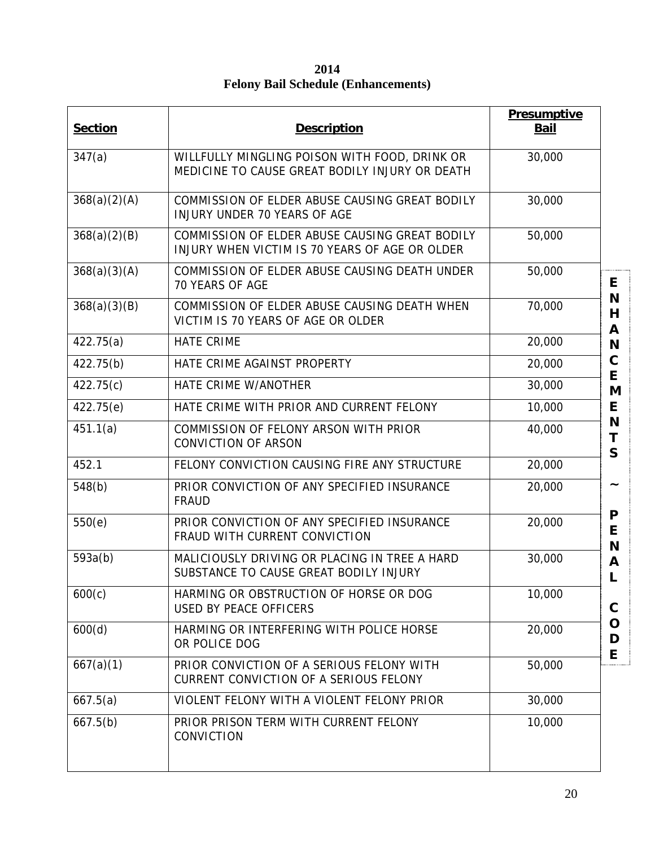**2014 Felony Bail Schedule (Enhancements)** 

| <b>Section</b> | <b>Description</b>                                                                               | <b>Presumptive</b><br><b>Bail</b> |
|----------------|--------------------------------------------------------------------------------------------------|-----------------------------------|
| 347(a)         | WILLFULLY MINGLING POISON WITH FOOD, DRINK OR<br>MEDICINE TO CAUSE GREAT BODILY INJURY OR DEATH  | 30,000                            |
| 368(a)(2)(A)   | COMMISSION OF ELDER ABUSE CAUSING GREAT BODILY<br>INJURY UNDER 70 YEARS OF AGE                   | 30,000                            |
| 368(a)(2)(B)   | COMMISSION OF ELDER ABUSE CAUSING GREAT BODILY<br>INJURY WHEN VICTIM IS 70 YEARS OF AGE OR OLDER | 50,000                            |
| 368(a)(3)(A)   | COMMISSION OF ELDER ABUSE CAUSING DEATH UNDER<br><b>70 YEARS OF AGE</b>                          | 50,000                            |
| 368(a)(3)(B)   | COMMISSION OF ELDER ABUSE CAUSING DEATH WHEN<br>VICTIM IS 70 YEARS OF AGE OR OLDER               | 70,000                            |
| 422.75(a)      | <b>HATE CRIME</b>                                                                                | 20,000                            |
| 422.75(b)      | HATE CRIME AGAINST PROPERTY                                                                      | 20,000                            |
| 422.75(c)      | HATE CRIME W/ANOTHER                                                                             | 30,000                            |
| 422.75(e)      | HATE CRIME WITH PRIOR AND CURRENT FELONY                                                         | 10,000                            |
| 451.1(a)       | COMMISSION OF FELONY ARSON WITH PRIOR<br>CONVICTION OF ARSON                                     | 40,000                            |
| 452.1          | FELONY CONVICTION CAUSING FIRE ANY STRUCTURE                                                     | 20,000                            |
| 548(b)         | PRIOR CONVICTION OF ANY SPECIFIED INSURANCE<br><b>FRAUD</b>                                      | 20,000                            |
| 550(e)         | PRIOR CONVICTION OF ANY SPECIFIED INSURANCE<br>FRAUD WITH CURRENT CONVICTION                     | 20,000                            |
| 593a(b)        | MALICIOUSLY DRIVING OR PLACING IN TREE A HARD<br>SUBSTANCE TO CAUSE GREAT BODILY INJURY          | 30,000                            |
| 600(c)         | HARMING OR OBSTRUCTION OF HORSE OR DOG<br>USED BY PEACE OFFICERS                                 | 10,000                            |
| 600(d)         | HARMING OR INTERFERING WITH POLICE HORSE<br>OR POLICE DOG                                        | 20,000                            |
| 667(a)(1)      | PRIOR CONVICTION OF A SERIOUS FELONY WITH<br>CURRENT CONVICTION OF A SERIOUS FELONY              | 50,000                            |
| 667.5(a)       | VIOLENT FELONY WITH A VIOLENT FELONY PRIOR                                                       | 30,000                            |
| 667.5(b)       | PRIOR PRISON TERM WITH CURRENT FELONY<br>CONVICTION                                              | 10,000                            |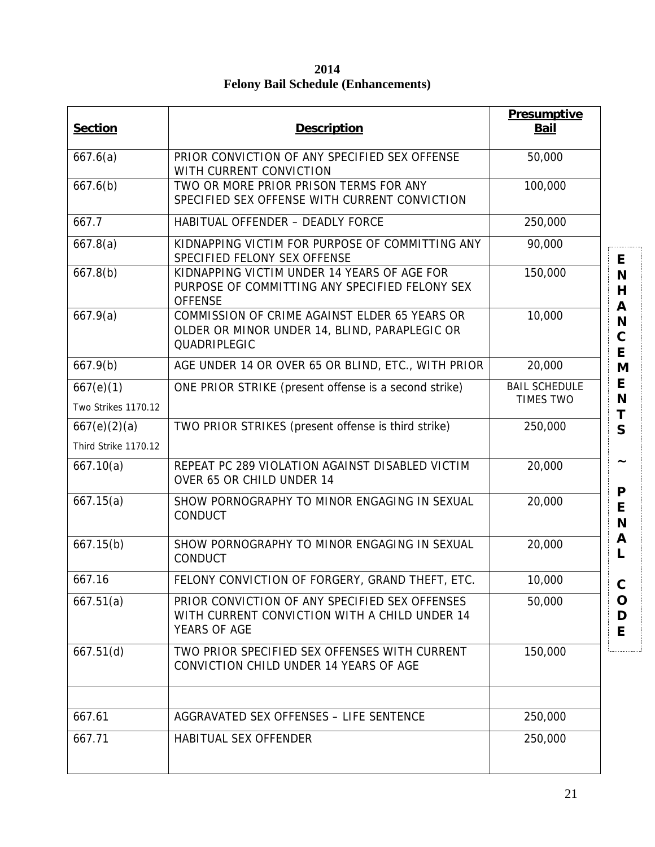**2014 Felony Bail Schedule (Enhancements)** 

| <b>Section</b>                    | <b>Description</b>                                                                                                     | <b>Presumptive</b><br><b>Bail</b>        |
|-----------------------------------|------------------------------------------------------------------------------------------------------------------------|------------------------------------------|
| 667.6(a)                          | PRIOR CONVICTION OF ANY SPECIFIED SEX OFFENSE<br>WITH CURRENT CONVICTION                                               | 50,000                                   |
| 667.6(b)                          | TWO OR MORE PRIOR PRISON TERMS FOR ANY<br>SPECIFIED SEX OFFENSE WITH CURRENT CONVICTION                                | 100,000                                  |
| 667.7                             | HABITUAL OFFENDER - DEADLY FORCE                                                                                       | 250,000                                  |
| 667.8(a)                          | KIDNAPPING VICTIM FOR PURPOSE OF COMMITTING ANY<br>SPECIFIED FELONY SEX OFFENSE                                        | 90,000                                   |
| 667.8(b)                          | KIDNAPPING VICTIM UNDER 14 YEARS OF AGE FOR<br>PURPOSE OF COMMITTING ANY SPECIFIED FELONY SEX<br><b>OFFENSE</b>        | 150,000                                  |
| 667.9(a)                          | COMMISSION OF CRIME AGAINST ELDER 65 YEARS OR<br>OLDER OR MINOR UNDER 14, BLIND, PARAPLEGIC OR<br>QUADRIPLEGIC         | 10,000                                   |
| 667.9(b)                          | AGE UNDER 14 OR OVER 65 OR BLIND, ETC., WITH PRIOR                                                                     | 20,000                                   |
| 667(e)(1)                         | ONE PRIOR STRIKE (present offense is a second strike)                                                                  | <b>BAIL SCHEDULE</b><br><b>TIMES TWO</b> |
| Two Strikes 1170.12               |                                                                                                                        |                                          |
| 667(e)(2)(a)                      | TWO PRIOR STRIKES (present offense is third strike)                                                                    | 250,000                                  |
| Third Strike 1170.12<br>667.10(a) | REPEAT PC 289 VIOLATION AGAINST DISABLED VICTIM<br>OVER 65 OR CHILD UNDER 14                                           | 20,000                                   |
| 667.15(a)                         | SHOW PORNOGRAPHY TO MINOR ENGAGING IN SEXUAL<br>CONDUCT                                                                | 20,000                                   |
| 667.15(b)                         | SHOW PORNOGRAPHY TO MINOR ENGAGING IN SEXUAL<br><b>CONDUCT</b>                                                         | 20,000                                   |
| 667.16                            | FELONY CONVICTION OF FORGERY, GRAND THEFT, ETC.                                                                        | 10,000                                   |
| 667.51(a)                         | PRIOR CONVICTION OF ANY SPECIFIED SEX OFFENSES<br>WITH CURRENT CONVICTION WITH A CHILD UNDER 14<br><b>YEARS OF AGE</b> | 50,000                                   |
| 667.51(d)                         | TWO PRIOR SPECIFIED SEX OFFENSES WITH CURRENT<br>CONVICTION CHILD UNDER 14 YEARS OF AGE                                | 150,000                                  |
| 667.61                            | AGGRAVATED SEX OFFENSES - LIFE SENTENCE                                                                                | 250,000                                  |
| 667.71                            | <b>HABITUAL SEX OFFENDER</b>                                                                                           | 250,000                                  |

**H A N C E M E N T S ~ P E N A L C O D E**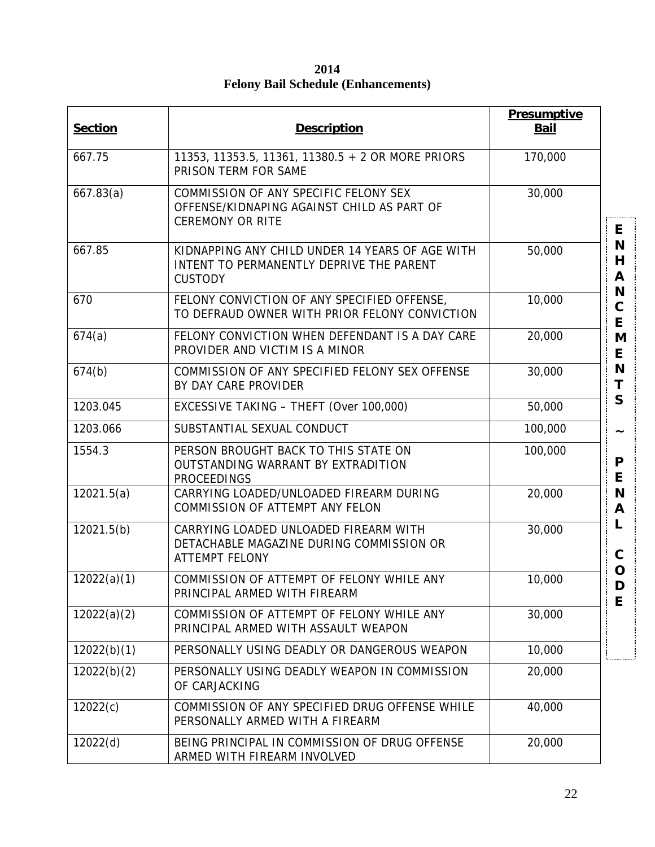| <b>Section</b> | <b>Description</b>                                                                                             | <b>Presumptive</b><br><b>Bail</b> |
|----------------|----------------------------------------------------------------------------------------------------------------|-----------------------------------|
| 667.75         | 11353, 11353.5, 11361, 11380.5 + 2 OR MORE PRIORS<br>PRISON TERM FOR SAME                                      | 170,000                           |
| 667.83(a)      | COMMISSION OF ANY SPECIFIC FELONY SEX<br>OFFENSE/KIDNAPING AGAINST CHILD AS PART OF<br><b>CEREMONY OR RITE</b> | 30,000<br>E                       |
| 667.85         | KIDNAPPING ANY CHILD UNDER 14 YEARS OF AGE WITH<br>INTENT TO PERMANENTLY DEPRIVE THE PARENT<br><b>CUSTODY</b>  | N<br>50,000<br>Н<br>A             |
| 670            | FELONY CONVICTION OF ANY SPECIFIED OFFENSE,<br>TO DEFRAUD OWNER WITH PRIOR FELONY CONVICTION                   | N<br>10,000<br>$\mathbf C$<br>E   |
| 674(a)         | FELONY CONVICTION WHEN DEFENDANT IS A DAY CARE<br>PROVIDER AND VICTIM IS A MINOR                               | 20,000<br>M<br>E                  |
| 674(b)         | COMMISSION OF ANY SPECIFIED FELONY SEX OFFENSE<br>BY DAY CARE PROVIDER                                         | N<br>30,000<br>Τ                  |
| 1203.045       | EXCESSIVE TAKING - THEFT (Over 100,000)                                                                        | $\mathsf{S}$<br>50,000            |
| 1203.066       | SUBSTANTIAL SEXUAL CONDUCT                                                                                     | 100,000                           |
| 1554.3         | PERSON BROUGHT BACK TO THIS STATE ON<br>OUTSTANDING WARRANT BY EXTRADITION<br><b>PROCEEDINGS</b>               | 100,000<br>P<br>E                 |
| 12021.5(a)     | CARRYING LOADED/UNLOADED FIREARM DURING<br>COMMISSION OF ATTEMPT ANY FELON                                     | 20,000<br>N<br>A                  |
| 12021.5(b)     | CARRYING LOADED UNLOADED FIREARM WITH<br>DETACHABLE MAGAZINE DURING COMMISSION OR<br><b>ATTEMPT FELONY</b>     | L<br>30,000<br>$\mathbf c$        |
| 12022(a)(1)    | COMMISSION OF ATTEMPT OF FELONY WHILE ANY<br>PRINCIPAL ARMED WITH FIREARM                                      | $\mathbf 0$<br>10,000<br>D<br>E   |
| 12022(a)(2)    | COMMISSION OF ATTEMPT OF FELONY WHILE ANY<br>PRINCIPAL ARMED WITH ASSAULT WEAPON                               | 30,000                            |
| 12022(b)(1)    | PERSONALLY USING DEADLY OR DANGEROUS WEAPON                                                                    | 10,000                            |
| 12022(b)(2)    | PERSONALLY USING DEADLY WEAPON IN COMMISSION<br>OF CARJACKING                                                  | 20,000                            |
| 12022(c)       | COMMISSION OF ANY SPECIFIED DRUG OFFENSE WHILE<br>PERSONALLY ARMED WITH A FIREARM                              | 40,000                            |
| 12022(d)       | BEING PRINCIPAL IN COMMISSION OF DRUG OFFENSE<br>ARMED WITH FIREARM INVOLVED                                   | 20,000                            |

**2014 Felony Bail Schedule (Enhancements)**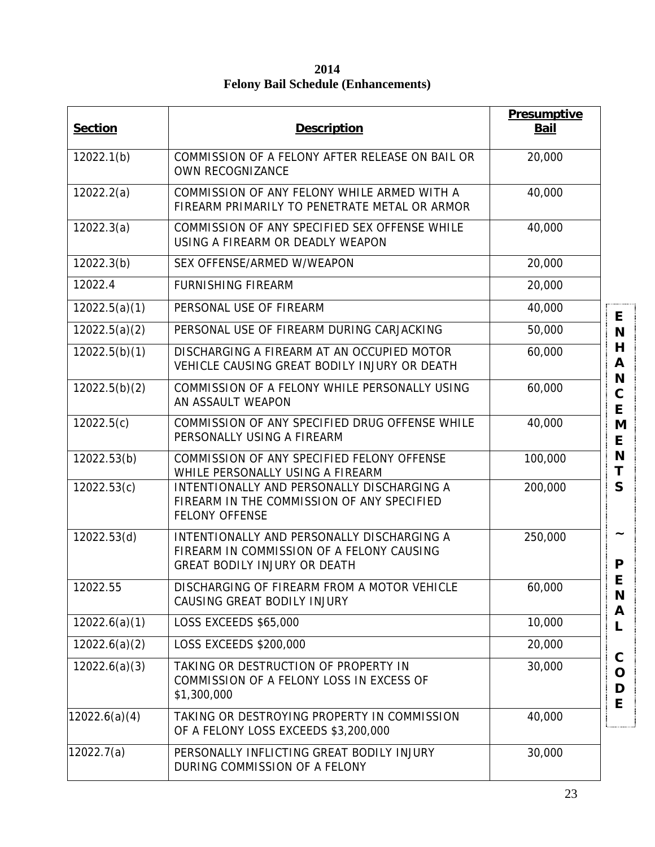**2014 Felony Bail Schedule (Enhancements)** 

| <b>Section</b> | <b>Description</b>                                                                                                             | <b>Presumptive</b><br><b>Bail</b> |
|----------------|--------------------------------------------------------------------------------------------------------------------------------|-----------------------------------|
| 12022.1(b)     | COMMISSION OF A FELONY AFTER RELEASE ON BAIL OR<br><b>OWN RECOGNIZANCE</b>                                                     | 20,000                            |
| 12022.2(a)     | COMMISSION OF ANY FELONY WHILE ARMED WITH A<br>FIREARM PRIMARILY TO PENETRATE METAL OR ARMOR                                   | 40,000                            |
| 12022.3(a)     | COMMISSION OF ANY SPECIFIED SEX OFFENSE WHILE<br>USING A FIREARM OR DEADLY WEAPON                                              | 40,000                            |
| 12022.3(b)     | SEX OFFENSE/ARMED W/WEAPON                                                                                                     | 20,000                            |
| 12022.4        | <b>FURNISHING FIREARM</b>                                                                                                      | 20,000                            |
| 12022.5(a)(1)  | PERSONAL USE OF FIREARM                                                                                                        | 40,000<br>E                       |
| 12022.5(a)(2)  | PERSONAL USE OF FIREARM DURING CARJACKING                                                                                      | 50,000<br>N                       |
| 12022.5(b)(1)  | DISCHARGING A FIREARM AT AN OCCUPIED MOTOR<br>VEHICLE CAUSING GREAT BODILY INJURY OR DEATH                                     | Н<br>60,000<br>A                  |
| 12022.5(b)(2)  | COMMISSION OF A FELONY WHILE PERSONALLY USING<br>AN ASSAULT WEAPON                                                             | N<br>60,000<br>C<br>E             |
| 12022.5(c)     | COMMISSION OF ANY SPECIFIED DRUG OFFENSE WHILE<br>PERSONALLY USING A FIREARM                                                   | 40,000<br>M<br>E                  |
| 12022.53(b)    | COMMISSION OF ANY SPECIFIED FELONY OFFENSE<br>WHILE PERSONALLY USING A FIREARM                                                 | N<br>100,000<br>Т                 |
| 12022.53(c)    | INTENTIONALLY AND PERSONALLY DISCHARGING A<br>FIREARM IN THE COMMISSION OF ANY SPECIFIED<br><b>FELONY OFFENSE</b>              | $\mathsf{S}$<br>200,000           |
| 12022.53(d)    | INTENTIONALLY AND PERSONALLY DISCHARGING A<br>FIREARM IN COMMISSION OF A FELONY CAUSING<br><b>GREAT BODILY INJURY OR DEATH</b> | 250,000<br>P                      |
| 12022.55       | DISCHARGING OF FIREARM FROM A MOTOR VEHICLE<br>CAUSING GREAT BODILY INJURY                                                     | 60,000<br>N<br>A                  |
| 12022.6(a)(1)  | <b>LOSS EXCEEDS \$65,000</b>                                                                                                   | 10,000                            |
| 12022.6(a)(2)  | <b>LOSS EXCEEDS \$200,000</b>                                                                                                  | 20,000                            |
| 12022.6(a)(3)  | TAKING OR DESTRUCTION OF PROPERTY IN<br>COMMISSION OF A FELONY LOSS IN EXCESS OF<br>\$1,300,000                                | C<br>30,000<br>O<br>D<br>E        |
| 12022.6(a)(4)  | TAKING OR DESTROYING PROPERTY IN COMMISSION<br>OF A FELONY LOSS EXCEEDS \$3,200,000                                            | 40,000                            |
| 12022.7(a)     | PERSONALLY INFLICTING GREAT BODILY INJURY<br>DURING COMMISSION OF A FELONY                                                     | 30,000                            |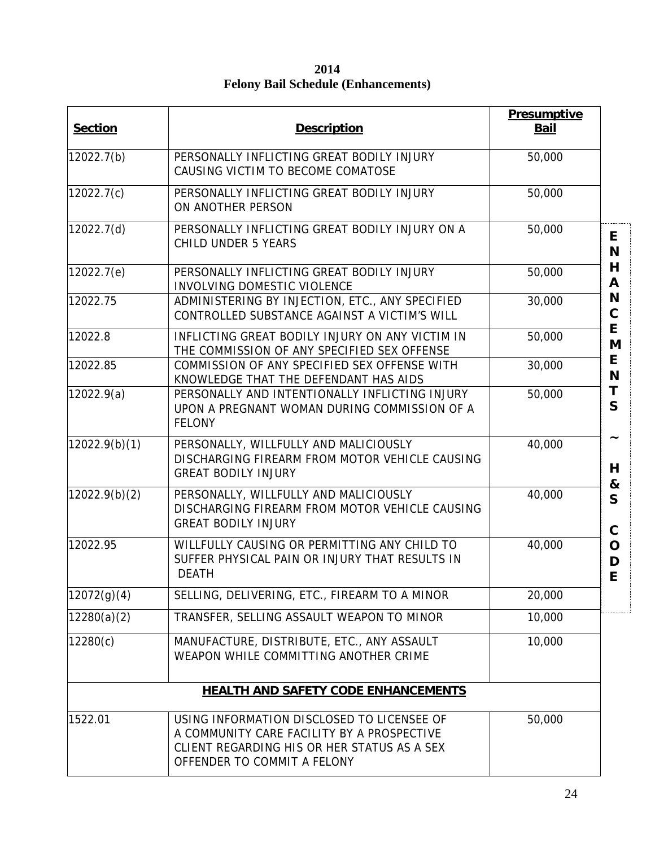| <b>Section</b> | <b>Description</b>                                                                                                                                                     | <b>Presumptive</b><br><b>Bail</b> |                                  |
|----------------|------------------------------------------------------------------------------------------------------------------------------------------------------------------------|-----------------------------------|----------------------------------|
| 12022.7(b)     | PERSONALLY INFLICTING GREAT BODILY INJURY<br>CAUSING VICTIM TO BECOME COMATOSE                                                                                         | 50,000                            |                                  |
| 12022.7(c)     | PERSONALLY INFLICTING GREAT BODILY INJURY<br>ON ANOTHER PERSON                                                                                                         | 50,000                            |                                  |
| 12022.7(d)     | PERSONALLY INFLICTING GREAT BODILY INJURY ON A<br><b>CHILD UNDER 5 YEARS</b>                                                                                           | 50,000                            | E.<br>N                          |
| 12022.7(e)     | PERSONALLY INFLICTING GREAT BODILY INJURY<br>INVOLVING DOMESTIC VIOLENCE                                                                                               | 50,000                            | н<br>A                           |
| 12022.75       | ADMINISTERING BY INJECTION, ETC., ANY SPECIFIED<br>CONTROLLED SUBSTANCE AGAINST A VICTIM'S WILL                                                                        | 30,000                            | N<br>$\mathbf C$                 |
| 12022.8        | INFLICTING GREAT BODILY INJURY ON ANY VICTIM IN<br>THE COMMISSION OF ANY SPECIFIED SEX OFFENSE                                                                         | 50,000                            | E<br>M                           |
| 12022.85       | COMMISSION OF ANY SPECIFIED SEX OFFENSE WITH<br>KNOWLEDGE THAT THE DEFENDANT HAS AIDS                                                                                  | 30,000                            | E<br>N                           |
| 12022.9(a)     | PERSONALLY AND INTENTIONALLY INFLICTING INJURY<br>UPON A PREGNANT WOMAN DURING COMMISSION OF A<br><b>FELONY</b>                                                        | 50,000                            | T<br>$\mathsf{S}$                |
| 12022.9(b)(1)  | PERSONALLY, WILLFULLY AND MALICIOUSLY<br>DISCHARGING FIREARM FROM MOTOR VEHICLE CAUSING<br><b>GREAT BODILY INJURY</b>                                                  | 40,000                            | н                                |
| 12022.9(b)(2)  | PERSONALLY, WILLFULLY AND MALICIOUSLY<br>DISCHARGING FIREARM FROM MOTOR VEHICLE CAUSING<br><b>GREAT BODILY INJURY</b>                                                  | 40,000                            | &<br>$\mathsf{S}$<br>$\mathbf C$ |
| 12022.95       | WILLFULLY CAUSING OR PERMITTING ANY CHILD TO<br>SUFFER PHYSICAL PAIN OR INJURY THAT RESULTS IN<br><b>DEATH</b>                                                         | 40,000                            | O<br>D<br>E                      |
| 12072(g)(4)    | SELLING, DELIVERING, ETC., FIREARM TO A MINOR                                                                                                                          | 20,000                            |                                  |
| 12280(a)(2)    | TRANSFER, SELLING ASSAULT WEAPON TO MINOR                                                                                                                              | 10,000                            |                                  |
| 12280(c)       | MANUFACTURE, DISTRIBUTE, ETC., ANY ASSAULT<br>WEAPON WHILE COMMITTING ANOTHER CRIME                                                                                    | 10,000                            |                                  |
|                | <b>HEALTH AND SAFETY CODE ENHANCEMENTS</b>                                                                                                                             |                                   |                                  |
| 1522.01        | USING INFORMATION DISCLOSED TO LICENSEE OF<br>A COMMUNITY CARE FACILITY BY A PROSPECTIVE<br>CLIENT REGARDING HIS OR HER STATUS AS A SEX<br>OFFENDER TO COMMIT A FELONY | 50,000                            |                                  |

**2014 Felony Bail Schedule (Enhancements)**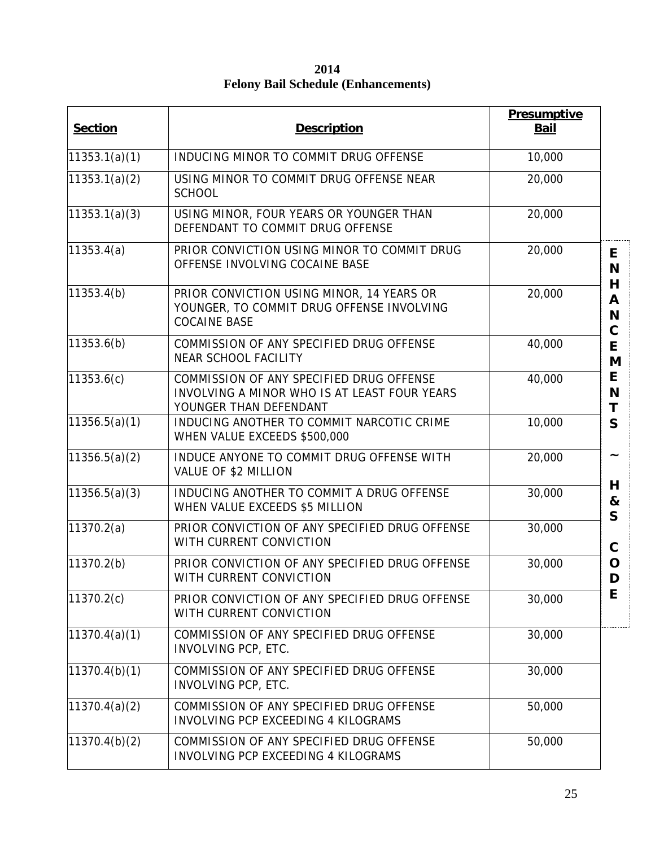**2014 Felony Bail Schedule (Enhancements)** 

| <b>Section</b>  | <b>Description</b>                                                                                                 | <b>Presumptive</b><br><b>Bail</b> |                            |
|-----------------|--------------------------------------------------------------------------------------------------------------------|-----------------------------------|----------------------------|
| 11353.1(a)(1)   | INDUCING MINOR TO COMMIT DRUG OFFENSE                                                                              | 10,000                            |                            |
| 11353.1(a)(2)   | USING MINOR TO COMMIT DRUG OFFENSE NEAR<br><b>SCHOOL</b>                                                           | 20,000                            |                            |
| 11353.1(a)(3)   | USING MINOR, FOUR YEARS OR YOUNGER THAN<br>DEFENDANT TO COMMIT DRUG OFFENSE                                        | 20,000                            |                            |
| 11353.4(a)      | PRIOR CONVICTION USING MINOR TO COMMIT DRUG<br>OFFENSE INVOLVING COCAINE BASE                                      | 20,000                            | E.<br>N                    |
| 11353.4(b)      | PRIOR CONVICTION USING MINOR, 14 YEARS OR<br>YOUNGER, TO COMMIT DRUG OFFENSE INVOLVING<br><b>COCAINE BASE</b>      | 20,000                            | н<br>A<br>N<br>$\mathbf C$ |
| 11353.6(b)      | COMMISSION OF ANY SPECIFIED DRUG OFFENSE<br><b>NEAR SCHOOL FACILITY</b>                                            | 40,000                            | E<br>M                     |
| 11353.6(c)      | COMMISSION OF ANY SPECIFIED DRUG OFFENSE<br>INVOLVING A MINOR WHO IS AT LEAST FOUR YEARS<br>YOUNGER THAN DEFENDANT | 40,000                            | E<br>N<br>Τ                |
| 11356.5(a)(1)   | INDUCING ANOTHER TO COMMIT NARCOTIC CRIME<br>WHEN VALUE EXCEEDS \$500,000                                          | 10,000                            | $\mathsf{S}$               |
| 11356.5(a)(2)   | INDUCE ANYONE TO COMMIT DRUG OFFENSE WITH<br>VALUE OF \$2 MILLION                                                  | 20,000                            |                            |
| 11356.5(a)(3)   | INDUCING ANOTHER TO COMMIT A DRUG OFFENSE<br>WHEN VALUE EXCEEDS \$5 MILLION                                        | 30,000                            | H<br>&<br>$\mathsf{S}$     |
| 11370.2(a)      | PRIOR CONVICTION OF ANY SPECIFIED DRUG OFFENSE<br>WITH CURRENT CONVICTION                                          | 30,000                            | C                          |
| 11370.2(b)      | PRIOR CONVICTION OF ANY SPECIFIED DRUG OFFENSE<br>WITH CURRENT CONVICTION                                          | 30,000                            | O<br>D                     |
| 11370.2(c)      | PRIOR CONVICTION OF ANY SPECIFIED DRUG OFFENSE<br>WITH CURRENT CONVICTION                                          | 30,000                            | E                          |
| 11370.4(a)(1)   | COMMISSION OF ANY SPECIFIED DRUG OFFENSE<br>INVOLVING PCP, ETC.                                                    | 30,000                            |                            |
| (11370.4(b)(1)) | COMMISSION OF ANY SPECIFIED DRUG OFFENSE<br>INVOLVING PCP, ETC.                                                    | 30,000                            |                            |
| 11370.4(a)(2)   | COMMISSION OF ANY SPECIFIED DRUG OFFENSE<br><b>INVOLVING PCP EXCEEDING 4 KILOGRAMS</b>                             | 50,000                            |                            |
| 11370.4(b)(2)   | COMMISSION OF ANY SPECIFIED DRUG OFFENSE<br>INVOLVING PCP EXCEEDING 4 KILOGRAMS                                    | 50,000                            |                            |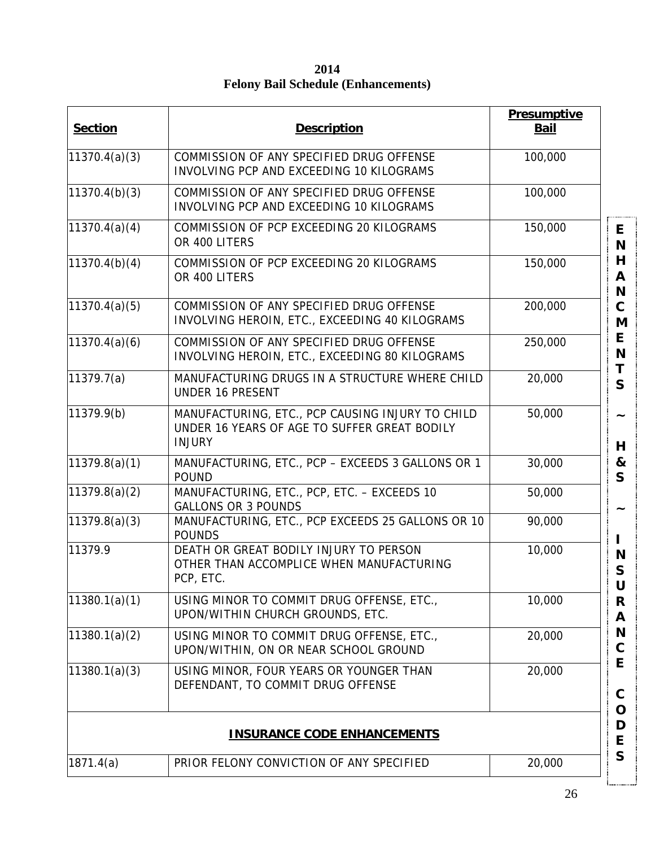| 2014                                       |
|--------------------------------------------|
| <b>Felony Bail Schedule (Enhancements)</b> |

| <b>Section</b> | <b>Description</b>                                                                                                | <b>Presumptive</b><br><b>Bail</b> |
|----------------|-------------------------------------------------------------------------------------------------------------------|-----------------------------------|
| 11370.4(a)(3)  | COMMISSION OF ANY SPECIFIED DRUG OFFENSE<br><b>INVOLVING PCP AND EXCEEDING 10 KILOGRAMS</b>                       | 100,000                           |
| 11370.4(b)(3)  | COMMISSION OF ANY SPECIFIED DRUG OFFENSE<br>INVOLVING PCP AND EXCEEDING 10 KILOGRAMS                              | 100,000                           |
| 11370.4(a)(4)  | COMMISSION OF PCP EXCEEDING 20 KILOGRAMS<br>OR 400 LITERS                                                         | 150,000                           |
| 11370.4(b)(4)  | COMMISSION OF PCP EXCEEDING 20 KILOGRAMS<br>OR 400 LITERS                                                         | 150,000                           |
| 11370.4(a)(5)  | COMMISSION OF ANY SPECIFIED DRUG OFFENSE<br>INVOLVING HEROIN, ETC., EXCEEDING 40 KILOGRAMS                        | 200,000                           |
| 11370.4(a)(6)  | COMMISSION OF ANY SPECIFIED DRUG OFFENSE<br>INVOLVING HEROIN, ETC., EXCEEDING 80 KILOGRAMS                        | 250,000                           |
| 11379.7(a)     | MANUFACTURING DRUGS IN A STRUCTURE WHERE CHILD<br><b>UNDER 16 PRESENT</b>                                         | 20,000                            |
| 11379.9(b)     | MANUFACTURING, ETC., PCP CAUSING INJURY TO CHILD<br>UNDER 16 YEARS OF AGE TO SUFFER GREAT BODILY<br><b>INJURY</b> | 50,000                            |
| 11379.8(a)(1)  | MANUFACTURING, ETC., PCP - EXCEEDS 3 GALLONS OR 1<br><b>POUND</b>                                                 | 30,000                            |
| 11379.8(a)(2)  | MANUFACTURING, ETC., PCP, ETC. - EXCEEDS 10<br><b>GALLONS OR 3 POUNDS</b>                                         | 50,000                            |
| 11379.8(a)(3)  | MANUFACTURING, ETC., PCP EXCEEDS 25 GALLONS OR 10<br><b>POUNDS</b>                                                | 90,000                            |
| 11379.9        | DEATH OR GREAT BODILY INJURY TO PERSON<br>OTHER THAN ACCOMPLICE WHEN MANUFACTURING<br>PCP, ETC.                   | 10,000                            |
| 11380.1(a)(1)  | USING MINOR TO COMMIT DRUG OFFENSE, ETC.,<br>UPON/WITHIN CHURCH GROUNDS, ETC.                                     | 10,000                            |
| 11380.1(a)(2)  | USING MINOR TO COMMIT DRUG OFFENSE, ETC.,<br>UPON/WITHIN, ON OR NEAR SCHOOL GROUND                                | 20,000                            |
| 11380.1(a)(3)  | USING MINOR, FOUR YEARS OR YOUNGER THAN<br>DEFENDANT, TO COMMIT DRUG OFFENSE                                      | 20,000                            |
|                | <b>INSURANCE CODE ENHANCEMENTS</b>                                                                                |                                   |
| 1871.4(a)      | PRIOR FELONY CONVICTION OF ANY SPECIFIED                                                                          | 20,000                            |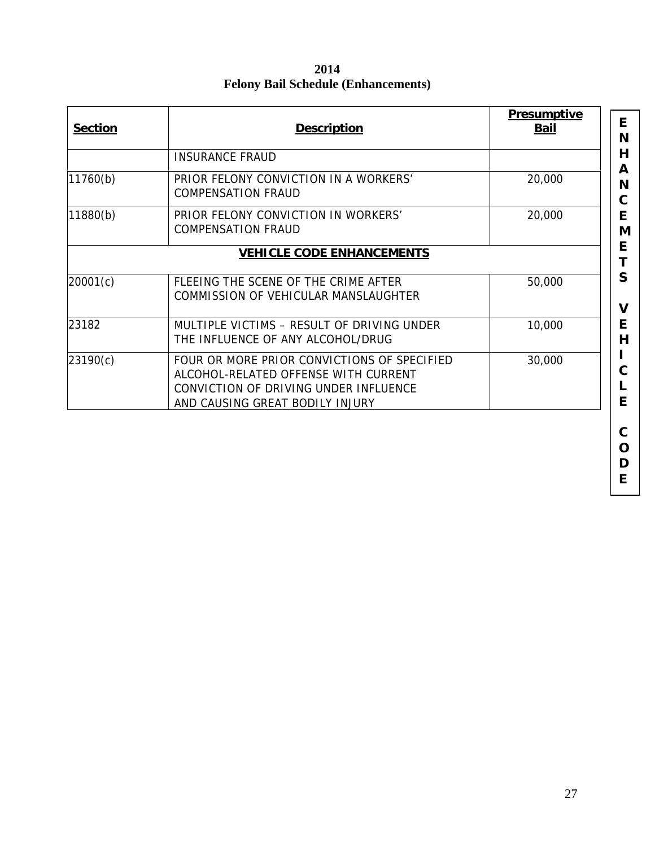| 2014                                       |
|--------------------------------------------|
| <b>Felony Bail Schedule (Enhancements)</b> |

| <b>Section</b> | <b>Description</b>                                                                                                                                              | <b>Presumptive</b><br><b>Bail</b> |
|----------------|-----------------------------------------------------------------------------------------------------------------------------------------------------------------|-----------------------------------|
|                | <b>INSURANCE FRAUD</b>                                                                                                                                          |                                   |
| 11760(b)       | PRIOR FELONY CONVICTION IN A WORKERS'<br><b>COMPENSATION FRAUD</b>                                                                                              | 20,000                            |
| 11880(b)       | PRIOR FELONY CONVICTION IN WORKERS'<br><b>COMPENSATION FRAUD</b>                                                                                                | 20,000                            |
|                | <b>VEHICLE CODE ENHANCEMENTS</b>                                                                                                                                |                                   |
| 20001(c)       | FLEEING THE SCENE OF THE CRIME AFTER<br>COMMISSION OF VEHICULAR MANSLAUGHTER                                                                                    | 50,000                            |
| 23182          | MULTIPLE VICTIMS - RESULT OF DRIVING UNDER<br>THE INFLUENCE OF ANY ALCOHOL/DRUG                                                                                 | 10,000                            |
| 23190(c)       | FOUR OR MORE PRIOR CONVICTIONS OF SPECIFIED<br>ALCOHOL-RELATED OFFENSE WITH CURRENT<br>CONVICTION OF DRIVING UNDER INFLUENCE<br>AND CAUSING GREAT BODILY INJURY | 30,000                            |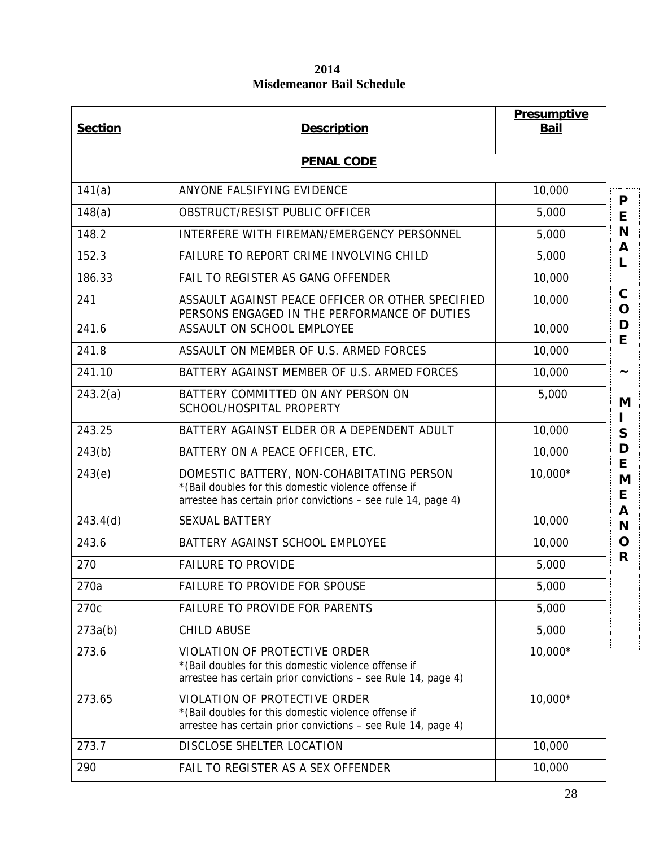## **2014 Misdemeanor Bail Schedule**

| <b>Section</b> | <b>Description</b>                                                                                                                                                 | <b>Presumptive</b><br><b>Bail</b> |
|----------------|--------------------------------------------------------------------------------------------------------------------------------------------------------------------|-----------------------------------|
|                | <b>PENAL CODE</b>                                                                                                                                                  |                                   |
| 141(a)         | ANYONE FALSIFYING EVIDENCE                                                                                                                                         | 10,000                            |
| 148(a)         | OBSTRUCT/RESIST PUBLIC OFFICER                                                                                                                                     | 5,000                             |
| 148.2          | INTERFERE WITH FIREMAN/EMERGENCY PERSONNEL                                                                                                                         | 5,000                             |
| 152.3          | FAILURE TO REPORT CRIME INVOLVING CHILD                                                                                                                            | 5,000                             |
| 186.33         | <b>FAIL TO REGISTER AS GANG OFFENDER</b>                                                                                                                           | 10,000                            |
| 241            | ASSAULT AGAINST PEACE OFFICER OR OTHER SPECIFIED<br>PERSONS ENGAGED IN THE PERFORMANCE OF DUTIES                                                                   | 10,000                            |
| 241.6          | ASSAULT ON SCHOOL EMPLOYEE                                                                                                                                         | 10,000                            |
| 241.8          | ASSAULT ON MEMBER OF U.S. ARMED FORCES                                                                                                                             | 10,000                            |
| 241.10         | BATTERY AGAINST MEMBER OF U.S. ARMED FORCES                                                                                                                        | 10,000                            |
| 243.2(a)       | BATTERY COMMITTED ON ANY PERSON ON<br>SCHOOL/HOSPITAL PROPERTY                                                                                                     | 5,000                             |
| 243.25         | BATTERY AGAINST ELDER OR A DEPENDENT ADULT                                                                                                                         | 10,000                            |
| 243(b)         | BATTERY ON A PEACE OFFICER, ETC.                                                                                                                                   | 10,000                            |
| 243(e)         | DOMESTIC BATTERY, NON-COHABITATING PERSON<br>*(Bail doubles for this domestic violence offense if<br>arrestee has certain prior convictions - see rule 14, page 4) | 10,000*                           |
| 243.4(d)       | <b>SEXUAL BATTERY</b>                                                                                                                                              | 10,000                            |
| 243.6          | BATTERY AGAINST SCHOOL EMPLOYEE                                                                                                                                    | 10,000                            |
| 270            | <b>FAILURE TO PROVIDE</b>                                                                                                                                          | 5,000                             |
| 270a           | FAILURE TO PROVIDE FOR SPOUSE                                                                                                                                      | 5,000                             |
| 270c           | <b>FAILURE TO PROVIDE FOR PARENTS</b>                                                                                                                              | 5,000                             |
| 273a(b)        | <b>CHILD ABUSE</b>                                                                                                                                                 | 5,000                             |
| 273.6          | VIOLATION OF PROTECTIVE ORDER<br>*(Bail doubles for this domestic violence offense if<br>arrestee has certain prior convictions - see Rule 14, page 4)             | 10,000*                           |
| 273.65         | <b>VIOLATION OF PROTECTIVE ORDER</b><br>*(Bail doubles for this domestic violence offense if<br>arrestee has certain prior convictions - see Rule 14, page 4)      | 10,000*                           |
| 273.7          | DISCLOSE SHELTER LOCATION                                                                                                                                          | 10,000                            |
| 290            | FAIL TO REGISTER AS A SEX OFFENDER                                                                                                                                 | 10,000                            |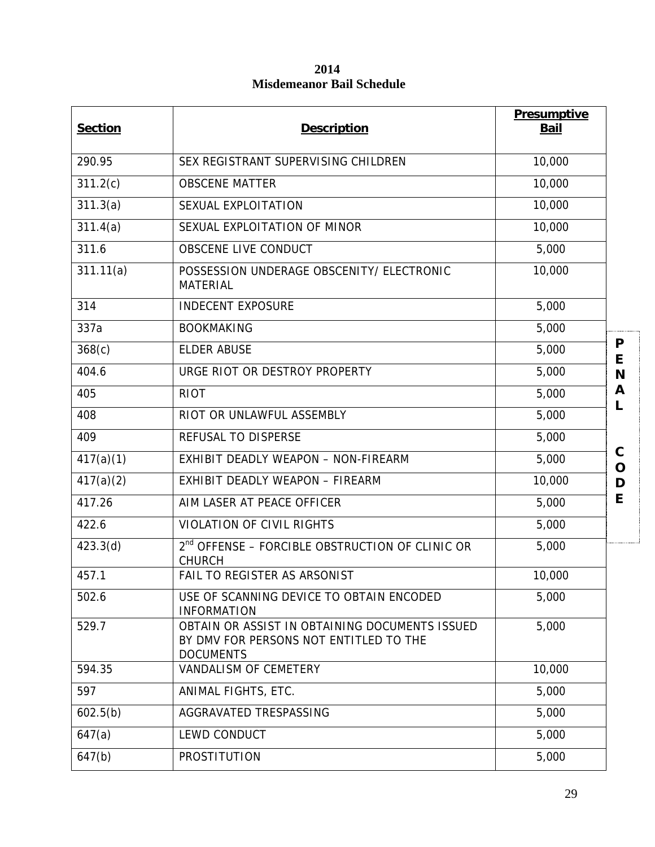## **2014 Misdemeanor Bail Schedule**

| <b>Section</b> | <b>Description</b>                                                                                           | <b>Presumptive</b><br><b>Bail</b> |        |
|----------------|--------------------------------------------------------------------------------------------------------------|-----------------------------------|--------|
| 290.95         | SEX REGISTRANT SUPERVISING CHILDREN                                                                          | 10,000                            |        |
| 311.2(c)       | <b>OBSCENE MATTER</b>                                                                                        | 10,000                            |        |
| 311.3(a)       | SEXUAL EXPLOITATION                                                                                          | 10,000                            |        |
| 311.4(a)       | SEXUAL EXPLOITATION OF MINOR                                                                                 | 10,000                            |        |
| 311.6          | OBSCENE LIVE CONDUCT                                                                                         | 5,000                             |        |
| 311.11(a)      | POSSESSION UNDERAGE OBSCENITY/ ELECTRONIC<br><b>MATERIAL</b>                                                 | 10,000                            |        |
| 314            | <b>INDECENT EXPOSURE</b>                                                                                     | 5,000                             |        |
| 337a           | <b>BOOKMAKING</b>                                                                                            | 5,000                             |        |
| 368(c)         | <b>ELDER ABUSE</b>                                                                                           | 5,000                             | P<br>E |
| 404.6          | URGE RIOT OR DESTROY PROPERTY                                                                                | 5,000                             | N      |
| 405            | <b>RIOT</b>                                                                                                  | 5,000                             | A      |
| 408            | RIOT OR UNLAWFUL ASSEMBLY                                                                                    | 5,000                             |        |
| 409            | <b>REFUSAL TO DISPERSE</b>                                                                                   | 5,000                             |        |
| 417(a)(1)      | EXHIBIT DEADLY WEAPON - NON-FIREARM                                                                          | 5,000                             | C<br>O |
| 417(a)(2)      | EXHIBIT DEADLY WEAPON - FIREARM                                                                              | 10,000                            | D      |
| 417.26         | AIM LASER AT PEACE OFFICER                                                                                   | 5,000                             | E      |
| 422.6          | <b>VIOLATION OF CIVIL RIGHTS</b>                                                                             | 5,000                             |        |
| 423.3(d)       | 2 <sup>nd</sup> OFFENSE - FORCIBLE OBSTRUCTION OF CLINIC OR<br><b>CHURCH</b>                                 | 5,000                             |        |
| 457.1          | FAIL TO REGISTER AS ARSONIST                                                                                 | 10,000                            |        |
| 502.6          | USE OF SCANNING DEVICE TO OBTAIN ENCODED<br><b>INFORMATION</b>                                               | 5,000                             |        |
| 529.7          | OBTAIN OR ASSIST IN OBTAINING DOCUMENTS ISSUED<br>BY DMV FOR PERSONS NOT ENTITLED TO THE<br><b>DOCUMENTS</b> | 5,000                             |        |
| 594.35         | <b>VANDALISM OF CEMETERY</b>                                                                                 | 10,000                            |        |
| 597            | ANIMAL FIGHTS, ETC.                                                                                          | 5,000                             |        |
| 602.5(b)       | AGGRAVATED TRESPASSING                                                                                       | 5,000                             |        |
| 647(a)         | LEWD CONDUCT                                                                                                 | 5,000                             |        |
| 647(b)         | <b>PROSTITUTION</b>                                                                                          | 5,000                             |        |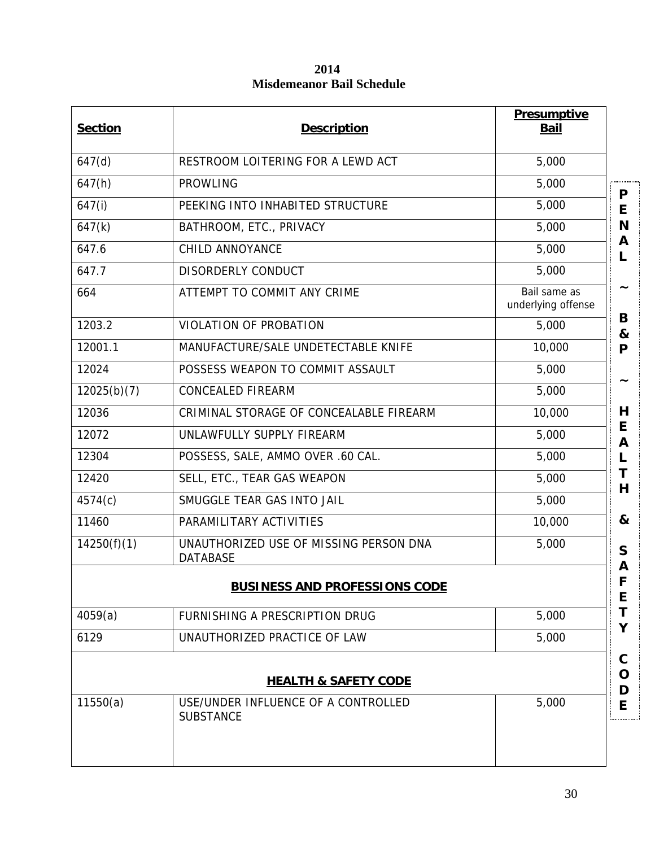| 2014                             |
|----------------------------------|
| <b>Misdemeanor Bail Schedule</b> |

| <b>Section</b> | <b>Description</b>                                        | <b>Presumptive</b><br><b>Bail</b>  |
|----------------|-----------------------------------------------------------|------------------------------------|
| 647(d)         | RESTROOM LOITERING FOR A LEWD ACT                         | 5,000                              |
| 647(h)         | <b>PROWLING</b>                                           | 5,000                              |
| 647(i)         | PEEKING INTO INHABITED STRUCTURE                          | 5,000                              |
| 647(k)         | BATHROOM, ETC., PRIVACY                                   | 5,000                              |
| 647.6          | <b>CHILD ANNOYANCE</b>                                    | 5,000                              |
| 647.7          | <b>DISORDERLY CONDUCT</b>                                 | 5,000                              |
| 664            | ATTEMPT TO COMMIT ANY CRIME                               | Bail same as<br>underlying offense |
| 1203.2         | <b>VIOLATION OF PROBATION</b>                             | 5,000                              |
| 12001.1        | MANUFACTURE/SALE UNDETECTABLE KNIFE                       | 10,000                             |
| 12024          | POSSESS WEAPON TO COMMIT ASSAULT                          | 5,000                              |
| 12025(b)(7)    | <b>CONCEALED FIREARM</b>                                  | 5,000                              |
| 12036          | CRIMINAL STORAGE OF CONCEALABLE FIREARM                   | 10,000                             |
| 12072          | UNLAWFULLY SUPPLY FIREARM                                 | 5,000                              |
| 12304          | POSSESS, SALE, AMMO OVER .60 CAL.                         | 5,000                              |
| 12420          | SELL, ETC., TEAR GAS WEAPON                               | 5,000                              |
| 4574(c)        | SMUGGLE TEAR GAS INTO JAIL                                | 5,000                              |
| 11460          | PARAMILITARY ACTIVITIES                                   | 10,000                             |
| 14250(f)(1)    | UNAUTHORIZED USE OF MISSING PERSON DNA<br><b>DATABASE</b> | 5,000                              |
|                | <b>BUSINESS AND PROFESSIONS CODE</b>                      |                                    |
| 4059(a)        | FURNISHING A PRESCRIPTION DRUG                            | 5,000                              |
| 6129           | UNAUTHORIZED PRACTICE OF LAW                              | 5,000                              |
|                | <b>HEALTH &amp; SAFETY CODE</b>                           |                                    |
| 11550(a)       | USE/UNDER INFLUENCE OF A CONTROLLED<br><b>SUBSTANCE</b>   | 5,000                              |